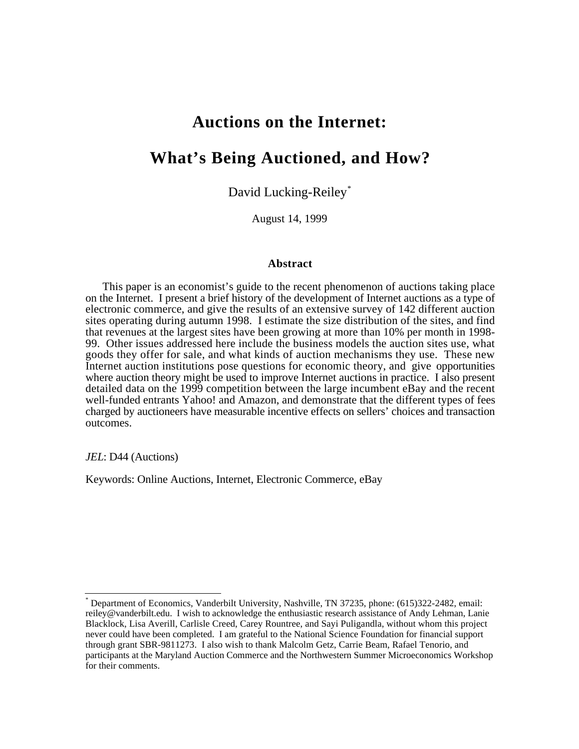# **Auctions on the Internet:**

# **What's Being Auctioned, and How?**

David Lucking-Reiley\*

August 14, 1999

#### **Abstract**

This paper is an economist's guide to the recent phenomenon of auctions taking place on the Internet. I present a brief history of the development of Internet auctions as a type of electronic commerce, and give the results of an extensive survey of 142 different auction sites operating during autumn 1998. I estimate the size distribution of the sites, and find that revenues at the largest sites have been growing at more than 10% per month in 1998- 99. Other issues addressed here include the business models the auction sites use, what goods they offer for sale, and what kinds of auction mechanisms they use. These new Internet auction institutions pose questions for economic theory, and give opportunities where auction theory might be used to improve Internet auctions in practice. I also present detailed data on the 1999 competition between the large incumbent eBay and the recent well-funded entrants Yahoo! and Amazon, and demonstrate that the different types of fees charged by auctioneers have measurable incentive effects on sellers' choices and transaction outcomes.

*JEL*: D44 (Auctions)

ı

Keywords: Online Auctions, Internet, Electronic Commerce, eBay

<sup>\*</sup> Department of Economics, Vanderbilt University, Nashville, TN 37235, phone: (615)322-2482, email: reiley@vanderbilt.edu. I wish to acknowledge the enthusiastic research assistance of Andy Lehman, Lanie Blacklock, Lisa Averill, Carlisle Creed, Carey Rountree, and Sayi Puligandla, without whom this project never could have been completed. I am grateful to the National Science Foundation for financial support through grant SBR-9811273. I also wish to thank Malcolm Getz, Carrie Beam, Rafael Tenorio, and participants at the Maryland Auction Commerce and the Northwestern Summer Microeconomics Workshop for their comments.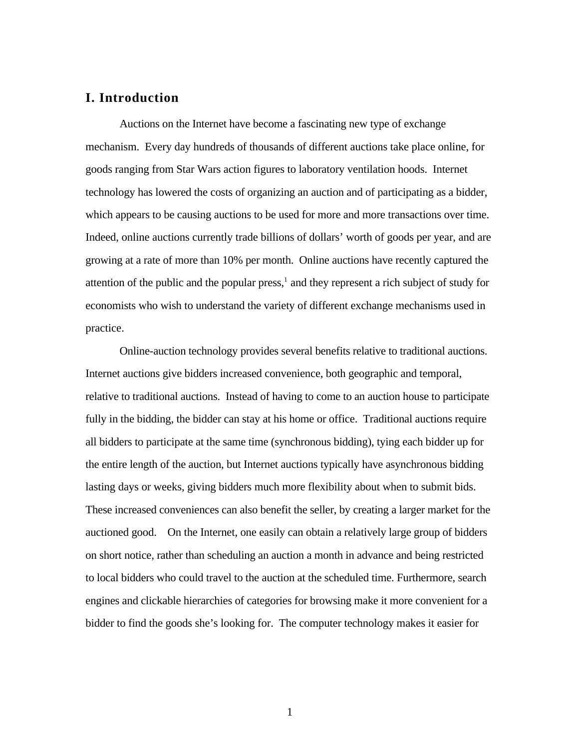# **I. Introduction**

Auctions on the Internet have become a fascinating new type of exchange mechanism. Every day hundreds of thousands of different auctions take place online, for goods ranging from Star Wars action figures to laboratory ventilation hoods. Internet technology has lowered the costs of organizing an auction and of participating as a bidder, which appears to be causing auctions to be used for more and more transactions over time. Indeed, online auctions currently trade billions of dollars' worth of goods per year, and are growing at a rate of more than 10% per month. Online auctions have recently captured the attention of the public and the popular press, $<sup>1</sup>$  and they represent a rich subject of study for</sup> economists who wish to understand the variety of different exchange mechanisms used in practice.

Online-auction technology provides several benefits relative to traditional auctions. Internet auctions give bidders increased convenience, both geographic and temporal, relative to traditional auctions. Instead of having to come to an auction house to participate fully in the bidding, the bidder can stay at his home or office. Traditional auctions require all bidders to participate at the same time (synchronous bidding), tying each bidder up for the entire length of the auction, but Internet auctions typically have asynchronous bidding lasting days or weeks, giving bidders much more flexibility about when to submit bids. These increased conveniences can also benefit the seller, by creating a larger market for the auctioned good. On the Internet, one easily can obtain a relatively large group of bidders on short notice, rather than scheduling an auction a month in advance and being restricted to local bidders who could travel to the auction at the scheduled time. Furthermore, search engines and clickable hierarchies of categories for browsing make it more convenient for a bidder to find the goods she's looking for. The computer technology makes it easier for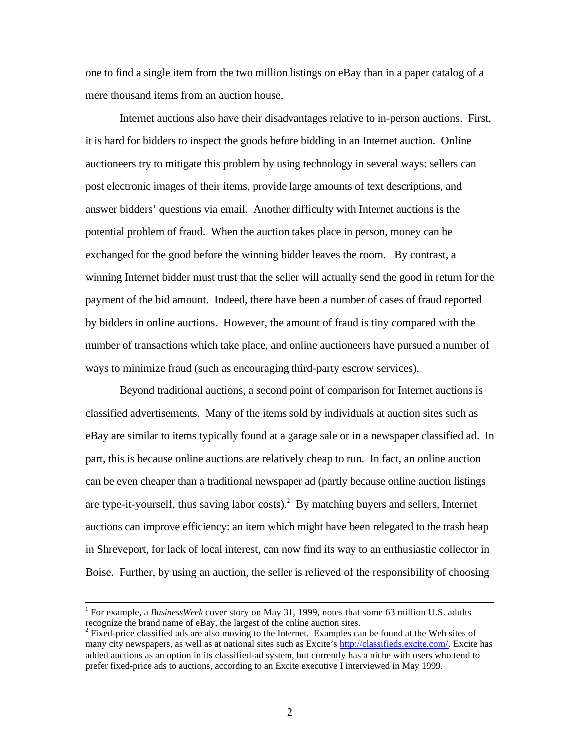one to find a single item from the two million listings on eBay than in a paper catalog of a mere thousand items from an auction house.

Internet auctions also have their disadvantages relative to in-person auctions. First, it is hard for bidders to inspect the goods before bidding in an Internet auction. Online auctioneers try to mitigate this problem by using technology in several ways: sellers can post electronic images of their items, provide large amounts of text descriptions, and answer bidders' questions via email. Another difficulty with Internet auctions is the potential problem of fraud. When the auction takes place in person, money can be exchanged for the good before the winning bidder leaves the room. By contrast, a winning Internet bidder must trust that the seller will actually send the good in return for the payment of the bid amount. Indeed, there have been a number of cases of fraud reported by bidders in online auctions. However, the amount of fraud is tiny compared with the number of transactions which take place, and online auctioneers have pursued a number of ways to minimize fraud (such as encouraging third-party escrow services).

Beyond traditional auctions, a second point of comparison for Internet auctions is classified advertisements. Many of the items sold by individuals at auction sites such as eBay are similar to items typically found at a garage sale or in a newspaper classified ad. In part, this is because online auctions are relatively cheap to run. In fact, an online auction can be even cheaper than a traditional newspaper ad (partly because online auction listings are type-it-yourself, thus saving labor costs).<sup>2</sup> By matching buyers and sellers, Internet auctions can improve efficiency: an item which might have been relegated to the trash heap in Shreveport, for lack of local interest, can now find its way to an enthusiastic collector in Boise. Further, by using an auction, the seller is relieved of the responsibility of choosing

 $\overline{a}$ 

<sup>&</sup>lt;sup>1</sup> For example, a *BusinessWeek* cover story on May 31, 1999, notes that some 63 million U.S. adults recognize the brand name of eBay, the largest of the online auction sites.

 $2^2$  Fixed-price classified ads are also moving to the Internet. Examples can be found at the Web sites of many city newspapers, as well as at national sites such as Excite's http://classifieds.excite.com/ . Excite has added auctions as an option in its classified-ad system, but currently has a niche with users who tend to prefer fixed-price ads to auctions, according to an Excite executive I interviewed in May 1999.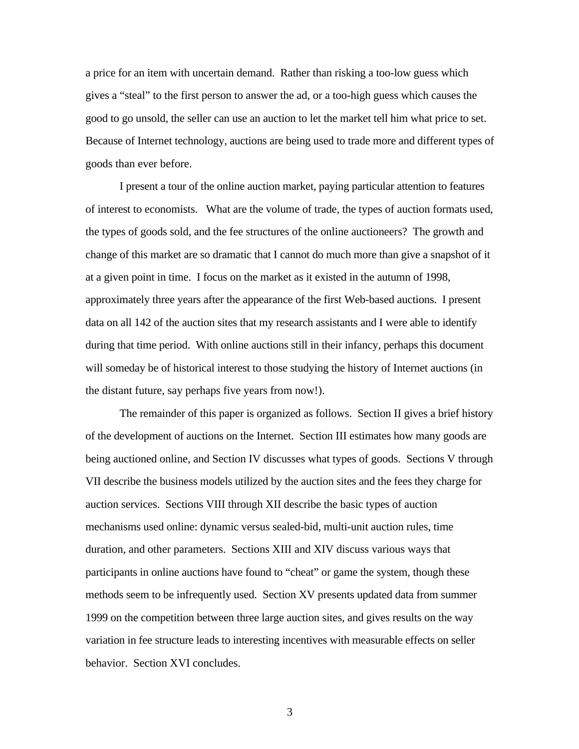a price for an item with uncertain demand. Rather than risking a too-low guess which gives a "steal" to the first person to answer the ad, or a too-high guess which causes the good to go unsold, the seller can use an auction to let the market tell him what price to set. Because of Internet technology, auctions are being used to trade more and different types of goods than ever before.

I present a tour of the online auction market, paying particular attention to features of interest to economists. What are the volume of trade, the types of auction formats used, the types of goods sold, and the fee structures of the online auctioneers? The growth and change of this market are so dramatic that I cannot do much more than give a snapshot of it at a given point in time. I focus on the market as it existed in the autumn of 1998, approximately three years after the appearance of the first Web-based auctions. I present data on all 142 of the auction sites that my research assistants and I were able to identify during that time period. With online auctions still in their infancy, perhaps this document will someday be of historical interest to those studying the history of Internet auctions (in the distant future, say perhaps five years from now!).

The remainder of this paper is organized as follows. Section II gives a brief history of the development of auctions on the Internet. Section III estimates how many goods are being auctioned online, and Section IV discusses what types of goods. Sections V through VII describe the business models utilized by the auction sites and the fees they charge for auction services. Sections VIII through XII describe the basic types of auction mechanisms used online: dynamic versus sealed-bid, multi-unit auction rules, time duration, and other parameters. Sections XIII and XIV discuss various ways that participants in online auctions have found to "cheat" or game the system, though these methods seem to be infrequently used. Section XV presents updated data from summer 1999 on the competition between three large auction sites, and gives results on the way variation in fee structure leads to interesting incentives with measurable effects on seller behavior. Section XVI concludes.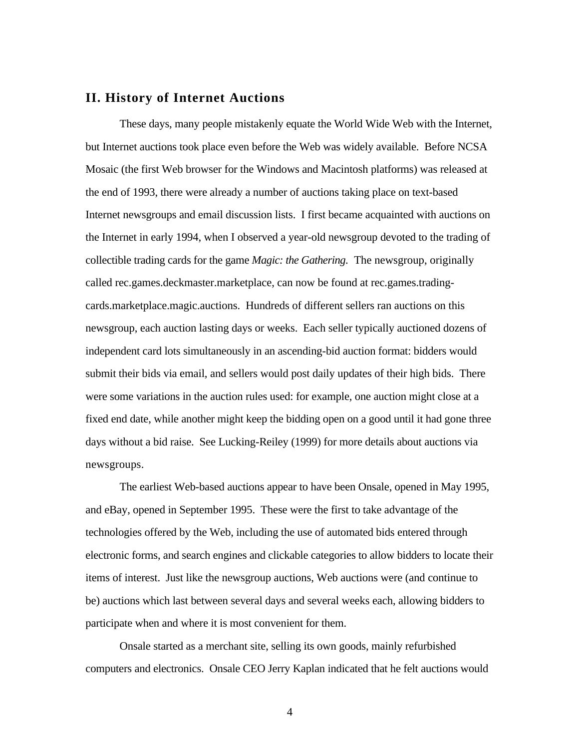#### **II. History of Internet Auctions**

These days, many people mistakenly equate the World Wide Web with the Internet, but Internet auctions took place even before the Web was widely available. Before NCSA Mosaic (the first Web browser for the Windows and Macintosh platforms) was released at the end of 1993, there were already a number of auctions taking place on text-based Internet newsgroups and email discussion lists. I first became acquainted with auctions on the Internet in early 1994, when I observed a year-old newsgroup devoted to the trading of collectible trading cards for the game *Magic: the Gathering*. The newsgroup, originally called rec.games.deckmaster.marketplace, can now be found at rec.games.tradingcards.marketplace.magic.auctions. Hundreds of different sellers ran auctions on this newsgroup, each auction lasting days or weeks. Each seller typically auctioned dozens of independent card lots simultaneously in an ascending-bid auction format: bidders would submit their bids via email, and sellers would post daily updates of their high bids. There were some variations in the auction rules used: for example, one auction might close at a fixed end date, while another might keep the bidding open on a good until it had gone three days without a bid raise. See Lucking-Reiley (1999) for more details about auctions via newsgroups.

The earliest Web-based auctions appear to have been Onsale, opened in May 1995, and eBay, opened in September 1995. These were the first to take advantage of the technologies offered by the Web, including the use of automated bids entered through electronic forms, and search engines and clickable categories to allow bidders to locate their items of interest. Just like the newsgroup auctions, Web auctions were (and continue to be) auctions which last between several days and several weeks each, allowing bidders to participate when and where it is most convenient for them.

Onsale started as a merchant site, selling its own goods, mainly refurbished computers and electronics. Onsale CEO Jerry Kaplan indicated that he felt auctions would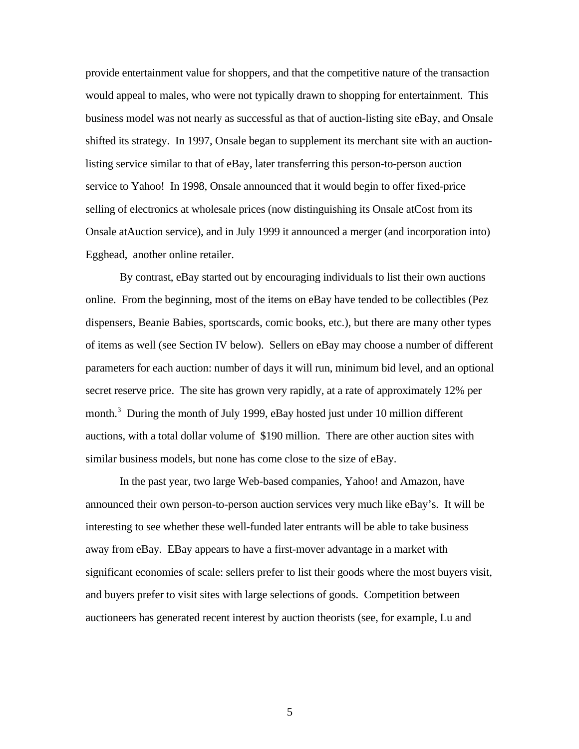provide entertainment value for shoppers, and that the competitive nature of the transaction would appeal to males, who were not typically drawn to shopping for entertainment. This business model was not nearly as successful as that of auction-listing site eBay, and Onsale shifted its strategy. In 1997, Onsale began to supplement its merchant site with an auctionlisting service similar to that of eBay, later transferring this person-to-person auction service to Yahoo! In 1998, Onsale announced that it would begin to offer fixed-price selling of electronics at wholesale prices (now distinguishing its Onsale atCost from its Onsale atAuction service), and in July 1999 it announced a merger (and incorporation into) Egghead, another online retailer.

By contrast, eBay started out by encouraging individuals to list their own auctions online. From the beginning, most of the items on eBay have tended to be collectibles (Pez dispensers, Beanie Babies, sportscards, comic books, etc.), but there are many other types of items as well (see Section IV below). Sellers on eBay may choose a number of different parameters for each auction: number of days it will run, minimum bid level, and an optional secret reserve price. The site has grown very rapidly, at a rate of approximately 12% per month.<sup>3</sup> During the month of July 1999, eBay hosted just under 10 million different auctions, with a total dollar volume of \$190 million. There are other auction sites with similar business models, but none has come close to the size of eBay.

In the past year, two large Web-based companies, Yahoo! and Amazon, have announced their own person-to-person auction services very much like eBay's. It will be interesting to see whether these well-funded later entrants will be able to take business away from eBay. EBay appears to have a first-mover advantage in a market with significant economies of scale: sellers prefer to list their goods where the most buyers visit, and buyers prefer to visit sites with large selections of goods. Competition between auctioneers has generated recent interest by auction theorists (see, for example, Lu and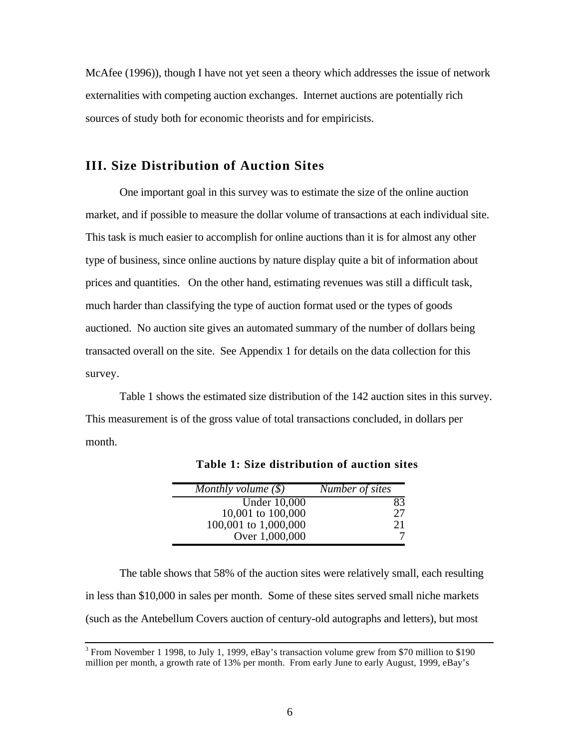McAfee (1996)), though I have not yet seen a theory which addresses the issue of network externalities with competing auction exchanges. Internet auctions are potentially rich sources of study both for economic theorists and for empiricists.

# **III. Size Distribution of Auction Sites**

One important goal in this survey was to estimate the size of the online auction market, and if possible to measure the dollar volume of transactions at each individual site. This task is much easier to accomplish for online auctions than it is for almost any other type of business, since online auctions by nature display quite a bit of information about prices and quantities. On the other hand, estimating revenues was still a difficult task, much harder than classifying the type of auction format used or the types of goods auctioned. No auction site gives an automated summary of the number of dollars being transacted overall on the site. See Appendix 1 for details on the data collection for this survey.

Table 1 shows the estimated size distribution of the 142 auction sites in this survey. This measurement is of the gross value of total transactions concluded, in dollars per month.

| Monthly volume $(\$)$ | Number of sites |
|-----------------------|-----------------|
| <b>Under 10,000</b>   | 83              |
| 10,001 to 100,000     | 27              |
| 100,001 to 1,000,000  | 21              |
| Over 1,000,000        |                 |

**Table 1: Size distribution of auction sites**

The table shows that 58% of the auction sites were relatively small, each resulting in less than \$10,000 in sales per month. Some of these sites served small niche markets (such as the Antebellum Covers auction of century-old autographs and letters), but most

<sup>&</sup>lt;sup>3</sup> From November 1 1998, to July 1, 1999, eBay's transaction volume grew from \$70 million to \$190 million per month, a growth rate of 13% per month. From early June to early August, 1999, eBay's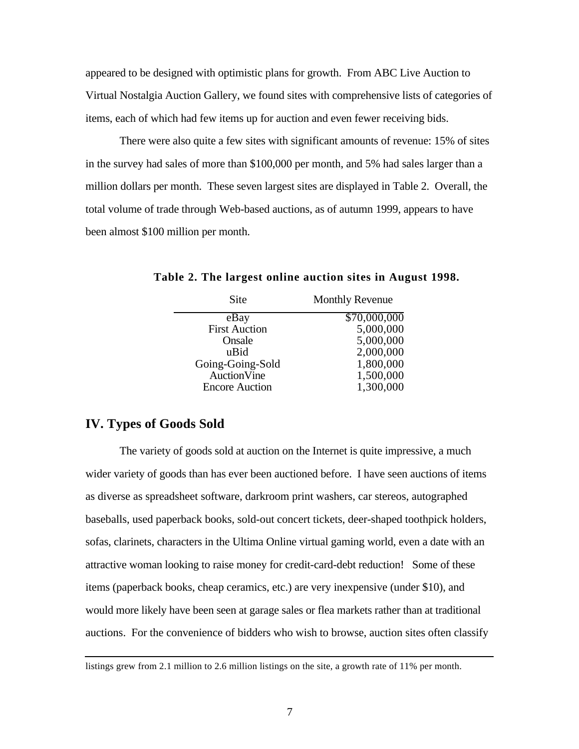appeared to be designed with optimistic plans for growth. From ABC Live Auction to Virtual Nostalgia Auction Gallery, we found sites with comprehensive lists of categories of items, each of which had few items up for auction and even fewer receiving bids.

There were also quite a few sites with significant amounts of revenue: 15% of sites in the survey had sales of more than \$100,000 per month, and 5% had sales larger than a million dollars per month. These seven largest sites are displayed in Table 2. Overall, the total volume of trade through Web-based auctions, as of autumn 1999, appears to have been almost \$100 million per month.

| Site                  | <b>Monthly Revenue</b> |
|-----------------------|------------------------|
| eBay                  | \$70,000,000           |
| <b>First Auction</b>  | 5,000,000              |
| Onsale                | 5,000,000              |
| uBid                  | 2,000,000              |
| Going-Going-Sold      | 1,800,000              |
| <b>Auction</b> Vine   | 1,500,000              |
| <b>Encore Auction</b> | 1,300,000              |
|                       |                        |

**Table 2. The largest online auction sites in August 1998.**

# **IV. Types of Goods Sold**

 $\overline{a}$ 

The variety of goods sold at auction on the Internet is quite impressive, a much wider variety of goods than has ever been auctioned before. I have seen auctions of items as diverse as spreadsheet software, darkroom print washers, car stereos, autographed baseballs, used paperback books, sold-out concert tickets, deer-shaped toothpick holders, sofas, clarinets, characters in the Ultima Online virtual gaming world, even a date with an attractive woman looking to raise money for credit-card-debt reduction! Some of these items (paperback books, cheap ceramics, etc.) are very inexpensive (under \$10), and would more likely have been seen at garage sales or flea markets rather than at traditional auctions. For the convenience of bidders who wish to browse, auction sites often classify

listings grew from 2.1 million to 2.6 million listings on the site, a growth rate of 11% per month.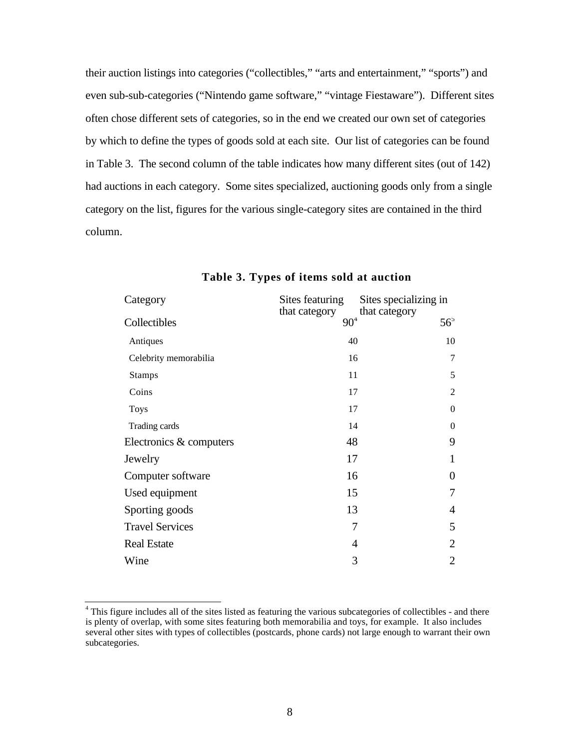their auction listings into categories ("collectibles," "arts and entertainment," "sports") and even sub-sub-categories ("Nintendo game software," "vintage Fiestaware"). Different sites often chose different sets of categories, so in the end we created our own set of categories by which to define the types of goods sold at each site. Our list of categories can be found in Table 3. The second column of the table indicates how many different sites (out of 142) had auctions in each category. Some sites specialized, auctioning goods only from a single category on the list, figures for the various single-category sites are contained in the third column.

| Category                | Sites featuring           | Sites specializing in         |
|-------------------------|---------------------------|-------------------------------|
| Collectibles            | that category<br>$90^{4}$ | that category<br>$56^{\circ}$ |
| Antiques                | 40                        | 10                            |
| Celebrity memorabilia   | 16                        | 7                             |
| <b>Stamps</b>           | 11                        | 5                             |
| Coins                   | 17                        | 2                             |
| <b>Toys</b>             | 17                        | $\mathbf{0}$                  |
| Trading cards           | 14                        | $\mathbf{0}$                  |
| Electronics & computers | 48                        | 9                             |
| Jewelry                 | 17                        | 1                             |
| Computer software       | 16                        | $\overline{0}$                |
| Used equipment          | 15                        | 7                             |
| Sporting goods          | 13                        | $\overline{4}$                |
| <b>Travel Services</b>  | 7                         | 5                             |
| <b>Real Estate</b>      | 4                         | 2                             |
| Wine                    | 3                         | $\overline{2}$                |

#### **Table 3. Types of items sold at auction**

 4 This figure includes all of the sites listed as featuring the various subcategories of collectibles - and there is plenty of overlap, with some sites featuring both memorabilia and toys, for example. It also includes several other sites with types of collectibles (postcards, phone cards) not large enough to warrant their own subcategories.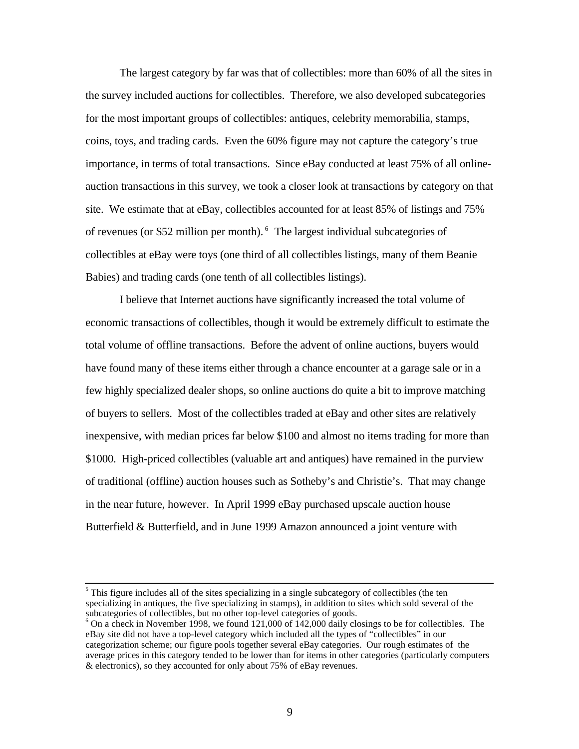The largest category by far was that of collectibles: more than 60% of all the sites in the survey included auctions for collectibles. Therefore, we also developed subcategories for the most important groups of collectibles: antiques, celebrity memorabilia, stamps, coins, toys, and trading cards. Even the 60% figure may not capture the category's true importance, in terms of total transactions. Since eBay conducted at least 75% of all onlineauction transactions in this survey, we took a closer look at transactions by category on that site. We estimate that at eBay, collectibles accounted for at least 85% of listings and 75% of revenues (or \$52 million per month). $<sup>6</sup>$  The largest individual subcategories of</sup> collectibles at eBay were toys (one third of all collectibles listings, many of them Beanie Babies) and trading cards (one tenth of all collectibles listings).

I believe that Internet auctions have significantly increased the total volume of economic transactions of collectibles, though it would be extremely difficult to estimate the total volume of offline transactions. Before the advent of online auctions, buyers would have found many of these items either through a chance encounter at a garage sale or in a few highly specialized dealer shops, so online auctions do quite a bit to improve matching of buyers to sellers. Most of the collectibles traded at eBay and other sites are relatively inexpensive, with median prices far below \$100 and almost no items trading for more than \$1000. High-priced collectibles (valuable art and antiques) have remained in the purview of traditional (offline) auction houses such as Sotheby's and Christie's. That may change in the near future, however. In April 1999 eBay purchased upscale auction house Butterfield & Butterfield, and in June 1999 Amazon announced a joint venture with

 $\frac{5}{3}$  This figure includes all of the sites specializing in a single subcategory of collectibles (the ten specializing in antiques, the five specializing in stamps), in addition to sites which sold several of the subcategories of collectibles, but no other top-level categories of goods.

 $6$  On a check in November 1998, we found 121,000 of 142,000 daily closings to be for collectibles. The eBay site did not have a top-level category which included all the types of "collectibles" in our categorization scheme; our figure pools together several eBay categories. Our rough estimates of the average prices in this category tended to be lower than for items in other categories (particularly computers & electronics), so they accounted for only about 75% of eBay revenues.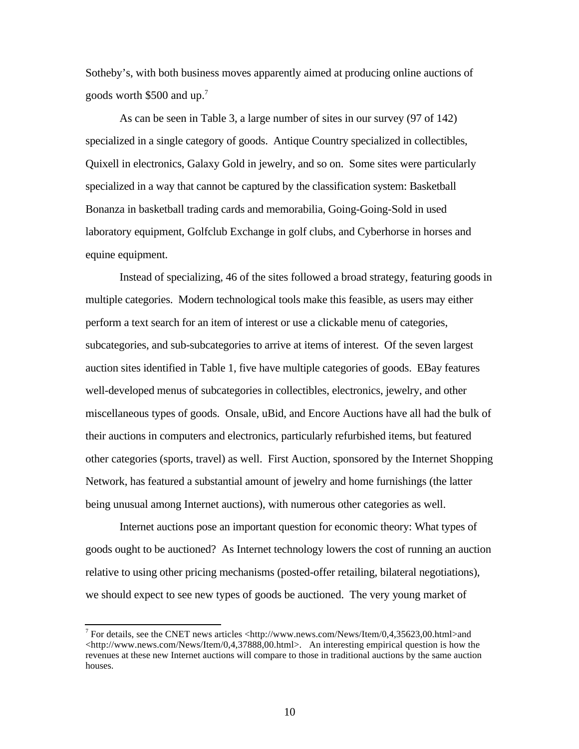Sotheby's, with both business moves apparently aimed at producing online auctions of goods worth  $$500$  and up.<sup>7</sup>

As can be seen in Table 3, a large number of sites in our survey (97 of 142) specialized in a single category of goods. Antique Country specialized in collectibles, Quixell in electronics, Galaxy Gold in jewelry, and so on. Some sites were particularly specialized in a way that cannot be captured by the classification system: Basketball Bonanza in basketball trading cards and memorabilia, Going-Going-Sold in used laboratory equipment, Golfclub Exchange in golf clubs, and Cyberhorse in horses and equine equipment.

Instead of specializing, 46 of the sites followed a broad strategy, featuring goods in multiple categories. Modern technological tools make this feasible, as users may either perform a text search for an item of interest or use a clickable menu of categories, subcategories, and sub-subcategories to arrive at items of interest. Of the seven largest auction sites identified in Table 1, five have multiple categories of goods. EBay features well-developed menus of subcategories in collectibles, electronics, jewelry, and other miscellaneous types of goods. Onsale, uBid, and Encore Auctions have all had the bulk of their auctions in computers and electronics, particularly refurbished items, but featured other categories (sports, travel) as well. First Auction, sponsored by the Internet Shopping Network, has featured a substantial amount of jewelry and home furnishings (the latter being unusual among Internet auctions), with numerous other categories as well.

Internet auctions pose an important question for economic theory: What types of goods ought to be auctioned? As Internet technology lowers the cost of running an auction relative to using other pricing mechanisms (posted-offer retailing, bilateral negotiations), we should expect to see new types of goods be auctioned. The very young market of

 7 For details, see the CNET news articles <http://www.news.com/News/Item/0,4,35623,00.html>and <http://www.news.com/News/Item/0,4,37888,00.html>. An interesting empirical question is how the revenues at these new Internet auctions will compare to those in traditional auctions by the same auction houses.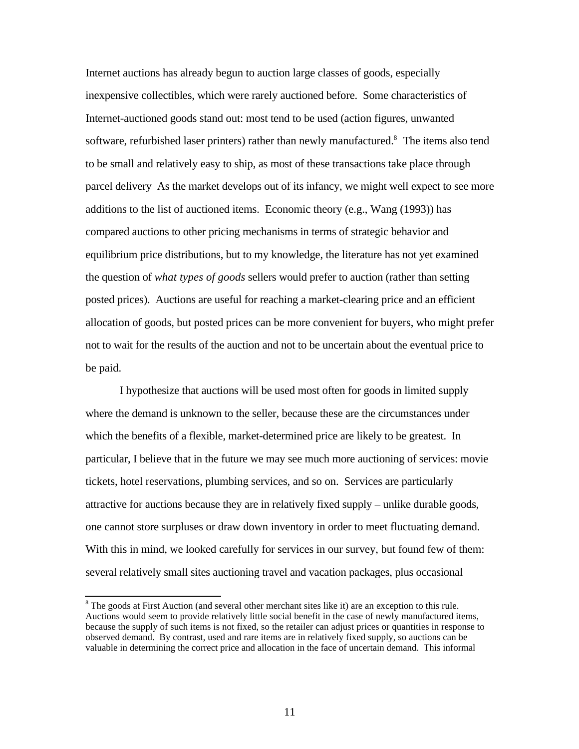Internet auctions has already begun to auction large classes of goods, especially inexpensive collectibles, which were rarely auctioned before. Some characteristics of Internet-auctioned goods stand out: most tend to be used (action figures, unwanted software, refurbished laser printers) rather than newly manufactured.<sup>8</sup> The items also tend to be small and relatively easy to ship, as most of these transactions take place through parcel delivery As the market develops out of its infancy, we might well expect to see more additions to the list of auctioned items. Economic theory (e.g., Wang (1993)) has compared auctions to other pricing mechanisms in terms of strategic behavior and equilibrium price distributions, but to my knowledge, the literature has not yet examined the question of *what types of goods* sellers would prefer to auction (rather than setting posted prices). Auctions are useful for reaching a market-clearing price and an efficient allocation of goods, but posted prices can be more convenient for buyers, who might prefer not to wait for the results of the auction and not to be uncertain about the eventual price to be paid.

I hypothesize that auctions will be used most often for goods in limited supply where the demand is unknown to the seller, because these are the circumstances under which the benefits of a flexible, market-determined price are likely to be greatest. In particular, I believe that in the future we may see much more auctioning of services: movie tickets, hotel reservations, plumbing services, and so on. Services are particularly attractive for auctions because they are in relatively fixed supply – unlike durable goods, one cannot store surpluses or draw down inventory in order to meet fluctuating demand. With this in mind, we looked carefully for services in our survey, but found few of them: several relatively small sites auctioning travel and vacation packages, plus occasional

ı

 $8$  The goods at First Auction (and several other merchant sites like it) are an exception to this rule. Auctions would seem to provide relatively little social benefit in the case of newly manufactured items, because the supply of such items is not fixed, so the retailer can adjust prices or quantities in response to observed demand. By contrast, used and rare items are in relatively fixed supply, so auctions can be valuable in determining the correct price and allocation in the face of uncertain demand. This informal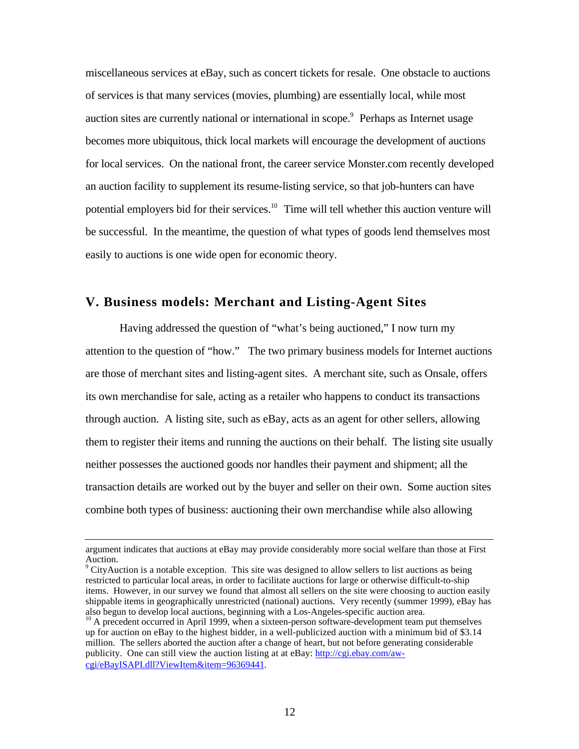miscellaneous services at eBay, such as concert tickets for resale. One obstacle to auctions of services is that many services (movies, plumbing) are essentially local, while most auction sites are currently national or international in scope.<sup>9</sup> Perhaps as Internet usage becomes more ubiquitous, thick local markets will encourage the development of auctions for local services. On the national front, the career service Monster.com recently developed an auction facility to supplement its resume-listing service, so that job-hunters can have potential employers bid for their services.<sup>10</sup> Time will tell whether this auction venture will be successful. In the meantime, the question of what types of goods lend themselves most easily to auctions is one wide open for economic theory.

# **V. Business models: Merchant and Listing-Agent Sites**

Having addressed the question of "what's being auctioned," I now turn my attention to the question of "how." The two primary business models for Internet auctions are those of merchant sites and listing-agent sites. A merchant site, such as Onsale, offers its own merchandise for sale, acting as a retailer who happens to conduct its transactions through auction. A listing site, such as eBay, acts as an agent for other sellers, allowing them to register their items and running the auctions on their behalf. The listing site usually neither possesses the auctioned goods nor handles their payment and shipment; all the transaction details are worked out by the buyer and seller on their own. Some auction sites combine both types of business: auctioning their own merchandise while also allowing

ı

 $\rm{^{9}}$  CityAuction is a notable exception. This site was designed to allow sellers to list auctions as being restricted to particular local areas, in order to facilitate auctions for large or otherwise difficult-to-ship items. However, in our survey we found that almost all sellers on the site were choosing to auction easily shippable items in geographically unrestricted (national) auctions. Very recently (summer 1999), eBay has also begun to develop local auctions, beginning with a Los-Angeles-specific auction area.

argument indicates that auctions at eBay may provide considerably more social welfare than those at First Auction.

<sup>&</sup>lt;sup>10</sup> A precedent occurred in April 1999, when a sixteen-person software-development team put themselves up for auction on eBay to the highest bidder, in a well-publicized auction with a minimum bid of \$3.14 million. The sellers aborted the auction after a change of heart, but not before generating considerable publicity. One can still view the auction listing at at eBay: http://cgi.ebay.com/awcgi/eBayISAPI.dll?ViewItem&item=96369441 .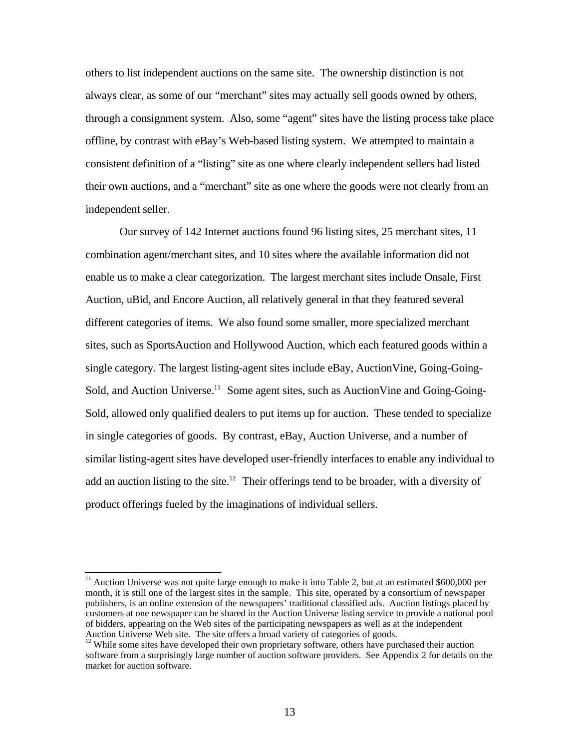others to list independent auctions on the same site. The ownership distinction is not always clear, as some of our "merchant" sites may actually sell goods owned by others, through a consignment system. Also, some "agent" sites have the listing process take place offline, by contrast with eBay's Web-based listing system. We attempted to maintain a consistent definition of a "listing" site as one where clearly independent sellers had listed their own auctions, and a "merchant" site as one where the goods were not clearly from an independent seller.

Our survey of 142 Internet auctions found 96 listing sites, 25 merchant sites, 11 combination agent/merchant sites, and 10 sites where the available information did not enable us to make a clear categorization. The largest merchant sites include Onsale, First Auction, uBid, and Encore Auction, all relatively general in that they featured several different categories of items. We also found some smaller, more specialized merchant sites, such as SportsAuction and Hollywood Auction, which each featured goods within a single category. The largest listing-agent sites include eBay, AuctionVine, Going-Going-Sold, and Auction Universe.<sup>11</sup> Some agent sites, such as Auction Vine and Going-Going-Sold, allowed only qualified dealers to put items up for auction. These tended to specialize in single categories of goods. By contrast, eBay, Auction Universe, and a number of similar listing-agent sites have developed user-friendly interfaces to enable any individual to add an auction listing to the site.<sup>12</sup> Their offerings tend to be broader, with a diversity of product offerings fueled by the imaginations of individual sellers.

 $\overline{a}$ 

<sup>&</sup>lt;sup>11</sup> Auction Universe was not quite large enough to make it into Table 2, but at an estimated \$600,000 per month, it is still one of the largest sites in the sample. This site, operated by a consortium of newspaper publishers, is an online extension of the newspapers' traditional classified ads. Auction listings placed by customers at one newspaper can be shared in the Auction Universe listing service to provide a national pool of bidders, appearing on the Web sites of the participating newspapers as well as at the independent Auction Universe Web site. The site offers a broad variety of categories of goods.

<sup>&</sup>lt;sup>12</sup> While some sites have developed their own proprietary software, others have purchased their auction software from a surprisingly large number of auction software providers. See Appendix 2 for details on the market for auction software.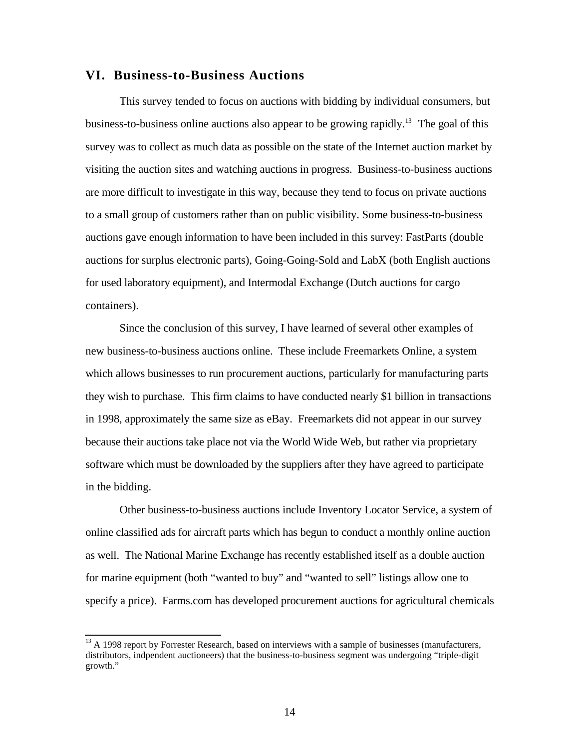# **VI. Business-to-Business Auctions**

This survey tended to focus on auctions with bidding by individual consumers, but business-to-business online auctions also appear to be growing rapidly.<sup>13</sup> The goal of this survey was to collect as much data as possible on the state of the Internet auction market by visiting the auction sites and watching auctions in progress. Business-to-business auctions are more difficult to investigate in this way, because they tend to focus on private auctions to a small group of customers rather than on public visibility. Some business-to-business auctions gave enough information to have been included in this survey: FastParts (double auctions for surplus electronic parts), Going-Going-Sold and LabX (both English auctions for used laboratory equipment), and Intermodal Exchange (Dutch auctions for cargo containers).

Since the conclusion of this survey, I have learned of several other examples of new business-to-business auctions online. These include Freemarkets Online, a system which allows businesses to run procurement auctions, particularly for manufacturing parts they wish to purchase. This firm claims to have conducted nearly \$1 billion in transactions in 1998, approximately the same size as eBay. Freemarkets did not appear in our survey because their auctions take place not via the World Wide Web, but rather via proprietary software which must be downloaded by the suppliers after they have agreed to participate in the bidding.

Other business-to-business auctions include Inventory Locator Service, a system of online classified ads for aircraft parts which has begun to conduct a monthly online auction as well. The National Marine Exchange has recently established itself as a double auction for marine equipment (both "wanted to buy" and "wanted to sell" listings allow one to specify a price). Farms.com has developed procurement auctions for agricultural chemicals

 $\overline{a}$ 

 $13$  A 1998 report by Forrester Research, based on interviews with a sample of businesses (manufacturers, distributors, indpendent auctioneers) that the business-to-business segment was undergoing "triple-digit growth."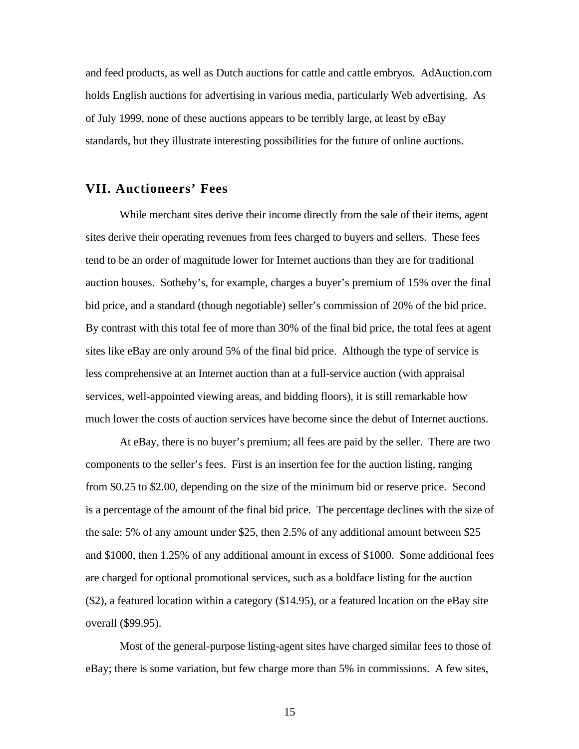and feed products, as well as Dutch auctions for cattle and cattle embryos. AdAuction.com holds English auctions for advertising in various media, particularly Web advertising. As of July 1999, none of these auctions appears to be terribly large, at least by eBay standards, but they illustrate interesting possibilities for the future of online auctions.

# **VII. Auctioneers' Fees**

While merchant sites derive their income directly from the sale of their items, agent sites derive their operating revenues from fees charged to buyers and sellers. These fees tend to be an order of magnitude lower for Internet auctions than they are for traditional auction houses. Sotheby's, for example, charges a buyer's premium of 15% over the final bid price, and a standard (though negotiable) seller's commission of 20% of the bid price. By contrast with this total fee of more than 30% of the final bid price, the total fees at agent sites like eBay are only around 5% of the final bid price. Although the type of service is less comprehensive at an Internet auction than at a full-service auction (with appraisal services, well-appointed viewing areas, and bidding floors), it is still remarkable how much lower the costs of auction services have become since the debut of Internet auctions.

At eBay, there is no buyer's premium; all fees are paid by the seller. There are two components to the seller's fees. First is an insertion fee for the auction listing, ranging from \$0.25 to \$2.00, depending on the size of the minimum bid or reserve price. Second is a percentage of the amount of the final bid price. The percentage declines with the size of the sale: 5% of any amount under \$25, then 2.5% of any additional amount between \$25 and \$1000, then 1.25% of any additional amount in excess of \$1000. Some additional fees are charged for optional promotional services, such as a boldface listing for the auction (\$2), a featured location within a category (\$14.95), or a featured location on the eBay site overall (\$99.95).

Most of the general-purpose listing-agent sites have charged similar fees to those of eBay; there is some variation, but few charge more than 5% in commissions. A few sites,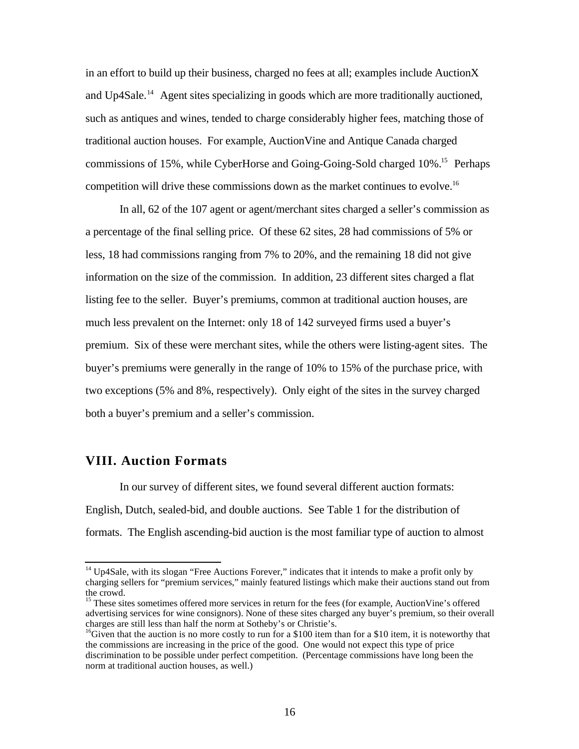in an effort to build up their business, charged no fees at all; examples include AuctionX and Up4Sale.<sup>14</sup> Agent sites specializing in goods which are more traditionally auctioned, such as antiques and wines, tended to charge considerably higher fees, matching those of traditional auction houses. For example, AuctionVine and Antique Canada charged commissions of 15%, while CyberHorse and Going-Going-Sold charged 10%<sup>15</sup> Perhaps competition will drive these commissions down as the market continues to evolve.<sup>16</sup>

In all, 62 of the 107 agent or agent/merchant sites charged a seller's commission as a percentage of the final selling price. Of these 62 sites, 28 had commissions of 5% or less, 18 had commissions ranging from 7% to 20%, and the remaining 18 did not give information on the size of the commission. In addition, 23 different sites charged a flat listing fee to the seller. Buyer's premiums, common at traditional auction houses, are much less prevalent on the Internet: only 18 of 142 surveyed firms used a buyer's premium. Six of these were merchant sites, while the others were listing-agent sites. The buyer's premiums were generally in the range of 10% to 15% of the purchase price, with two exceptions (5% and 8%, respectively). Only eight of the sites in the survey charged both a buyer's premium and a seller's commission.

# **VIII. Auction Formats**

ı

In our survey of different sites, we found several different auction formats: English, Dutch, sealed-bid, and double auctions. See Table 1 for the distribution of formats. The English ascending-bid auction is the most familiar type of auction to almost

<sup>&</sup>lt;sup>14</sup> Up4Sale, with its slogan "Free Auctions Forever," indicates that it intends to make a profit only by charging sellers for "premium services," mainly featured listings which make their auctions stand out from the crowd.

<sup>&</sup>lt;sup>15</sup> These sites sometimes offered more services in return for the fees (for example, AuctionVine's offered advertising services for wine consignors). None of these sites charged any buyer's premium, so their overall charges are still less than half the norm at Sotheby's or Christie's.

<sup>&</sup>lt;sup>16</sup>Given that the auction is no more costly to run for a \$100 item than for a \$10 item, it is noteworthy that the commissions are increasing in the price of the good. One would not expect this type of price discrimination to be possible under perfect competition. (Percentage commissions have long been the norm at traditional auction houses, as well.)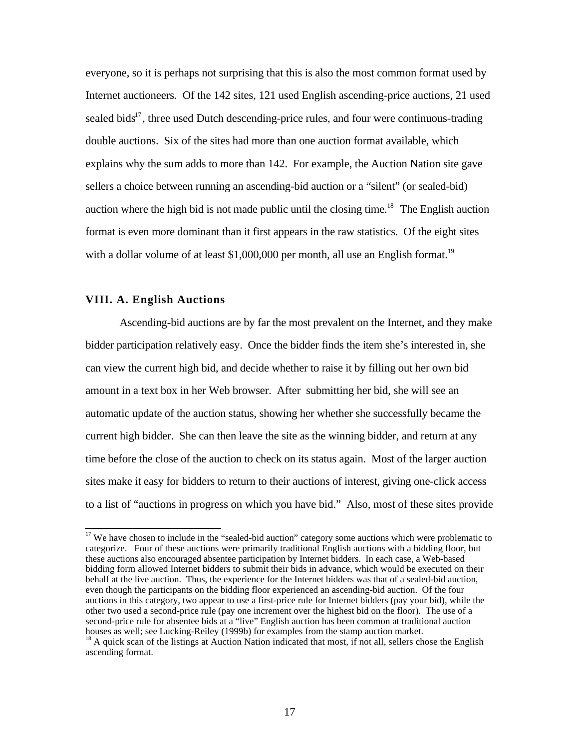everyone, so it is perhaps not surprising that this is also the most common format used by Internet auctioneers. Of the 142 sites, 121 used English ascending-price auctions, 21 used sealed bids $17$ , three used Dutch descending-price rules, and four were continuous-trading double auctions. Six of the sites had more than one auction format available, which explains why the sum adds to more than 142. For example, the Auction Nation site gave sellers a choice between running an ascending-bid auction or a "silent" (or sealed-bid) auction where the high bid is not made public until the closing time.<sup>18</sup> The English auction format is even more dominant than it first appears in the raw statistics. Of the eight sites with a dollar volume of at least \$1,000,000 per month, all use an English format.<sup>19</sup>

#### **VIII. A. English Auctions**

ı

Ascending-bid auctions are by far the most prevalent on the Internet, and they make bidder participation relatively easy. Once the bidder finds the item she's interested in, she can view the current high bid, and decide whether to raise it by filling out her own bid amount in a text box in her Web browser. After submitting her bid, she will see an automatic update of the auction status, showing her whether she successfully became the current high bidder. She can then leave the site as the winning bidder, and return at any time before the close of the auction to check on its status again. Most of the larger auction sites make it easy for bidders to return to their auctions of interest, giving one-click access to a list of "auctions in progress on which you have bid." Also, most of these sites provide

 $17$  We have chosen to include in the "sealed-bid auction" category some auctions which were problematic to categorize. Four of these auctions were primarily traditional English auctions with a bidding floor, but these auctions also encouraged absentee participation by Internet bidders. In each case, a Web-based bidding form allowed Internet bidders to submit their bids in advance, which would be executed on their behalf at the live auction. Thus, the experience for the Internet bidders was that of a sealed-bid auction, even though the participants on the bidding floor experienced an ascending-bid auction. Of the four auctions in this category, two appear to use a first-price rule for Internet bidders (pay your bid), while the other two used a second-price rule (pay one increment over the highest bid on the floor). The use of a second-price rule for absentee bids at a "live" English auction has been common at traditional auction houses as well; see Lucking-Reiley (1999b) for examples from the stamp auction market.

<sup>&</sup>lt;sup>18</sup> A quick scan of the listings at Auction Nation indicated that most, if not all, sellers chose the English ascending format.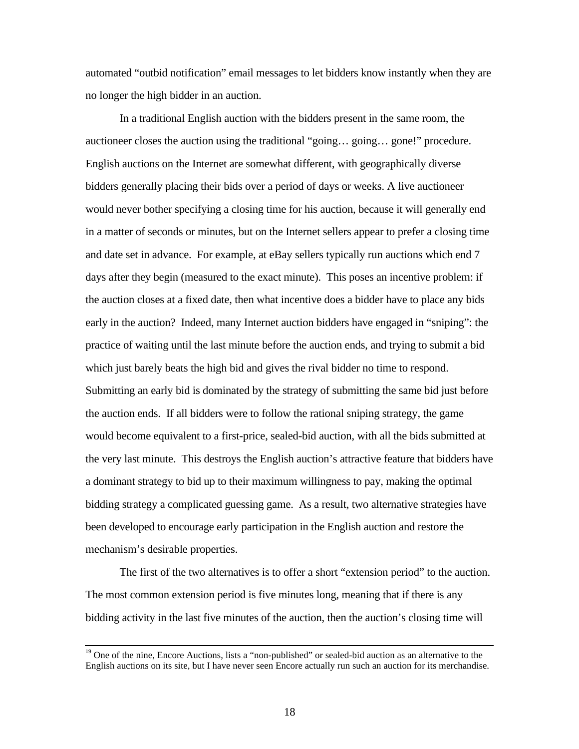automated "outbid notification" email messages to let bidders know instantly when they are no longer the high bidder in an auction.

In a traditional English auction with the bidders present in the same room, the auctioneer closes the auction using the traditional "going… going… gone!" procedure. English auctions on the Internet are somewhat different, with geographically diverse bidders generally placing their bids over a period of days or weeks. A live auctioneer would never bother specifying a closing time for his auction, because it will generally end in a matter of seconds or minutes, but on the Internet sellers appear to prefer a closing time and date set in advance. For example, at eBay sellers typically run auctions which end 7 days after they begin (measured to the exact minute). This poses an incentive problem: if the auction closes at a fixed date, then what incentive does a bidder have to place any bids early in the auction? Indeed, many Internet auction bidders have engaged in "sniping": the practice of waiting until the last minute before the auction ends, and trying to submit a bid which just barely beats the high bid and gives the rival bidder no time to respond. Submitting an early bid is dominated by the strategy of submitting the same bid just before the auction ends. If all bidders were to follow the rational sniping strategy, the game would become equivalent to a first-price, sealed-bid auction, with all the bids submitted at the very last minute. This destroys the English auction's attractive feature that bidders have a dominant strategy to bid up to their maximum willingness to pay, making the optimal bidding strategy a complicated guessing game. As a result, two alternative strategies have been developed to encourage early participation in the English auction and restore the mechanism's desirable properties.

The first of the two alternatives is to offer a short "extension period" to the auction. The most common extension period is five minutes long, meaning that if there is any bidding activity in the last five minutes of the auction, then the auction's closing time will

 $\overline{a}$ 

<sup>&</sup>lt;sup>19</sup> One of the nine, Encore Auctions, lists a "non-published" or sealed-bid auction as an alternative to the English auctions on its site, but I have never seen Encore actually run such an auction for its merchandise.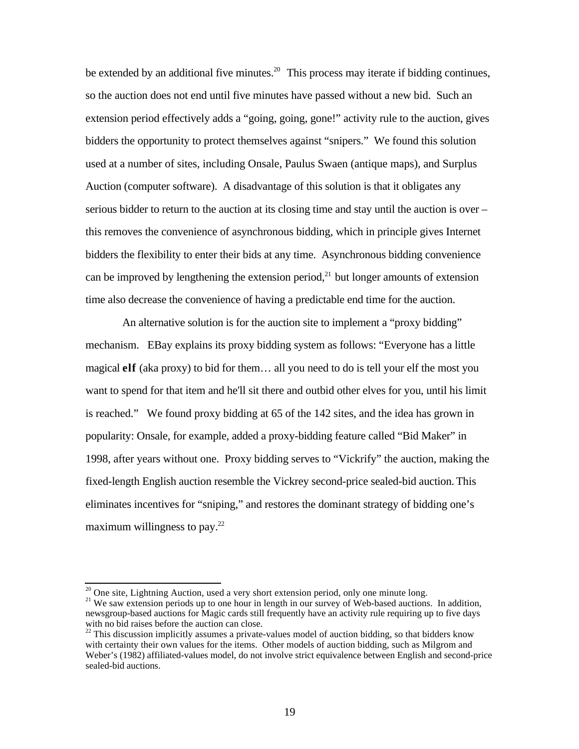be extended by an additional five minutes.<sup>20</sup> This process may iterate if bidding continues, so the auction does not end until five minutes have passed without a new bid. Such an extension period effectively adds a "going, going, gone!" activity rule to the auction, gives bidders the opportunity to protect themselves against "snipers." We found this solution used at a number of sites, including Onsale, Paulus Swaen (antique maps), and Surplus Auction (computer software). A disadvantage of this solution is that it obligates any serious bidder to return to the auction at its closing time and stay until the auction is over – this removes the convenience of asynchronous bidding, which in principle gives Internet bidders the flexibility to enter their bids at any time. Asynchronous bidding convenience can be improved by lengthening the extension period, $^{21}$  but longer amounts of extension time also decrease the convenience of having a predictable end time for the auction.

 An alternative solution is for the auction site to implement a "proxy bidding" mechanism. EBay explains its proxy bidding system as follows: "Everyone has a little magical **elf** (aka proxy) to bid for them… all you need to do is tell your elf the most you want to spend for that item and he'll sit there and outbid other elves for you, until his limit is reached." We found proxy bidding at 65 of the 142 sites, and the idea has grown in popularity: Onsale, for example, added a proxy-bidding feature called "Bid Maker" in 1998, after years without one. Proxy bidding serves to "Vickrify" the auction, making the fixed-length English auction resemble the Vickrey second-price sealed-bid auction.This eliminates incentives for "sniping," and restores the dominant strategy of bidding one's maximum willingness to pay.<sup>22</sup>

 $\overline{a}$ 

 $20$  One site, Lightning Auction, used a very short extension period, only one minute long.

<sup>&</sup>lt;sup>21</sup> We saw extension periods up to one hour in length in our survey of Web-based auctions. In addition, newsgroup-based auctions for Magic cards still frequently have an activity rule requiring up to five days with no bid raises before the auction can close.

 $22$  This discussion implicitly assumes a private-values model of auction bidding, so that bidders know with certainty their own values for the items. Other models of auction bidding, such as Milgrom and Weber's (1982) affiliated-values model, do not involve strict equivalence between English and second-price sealed-bid auctions.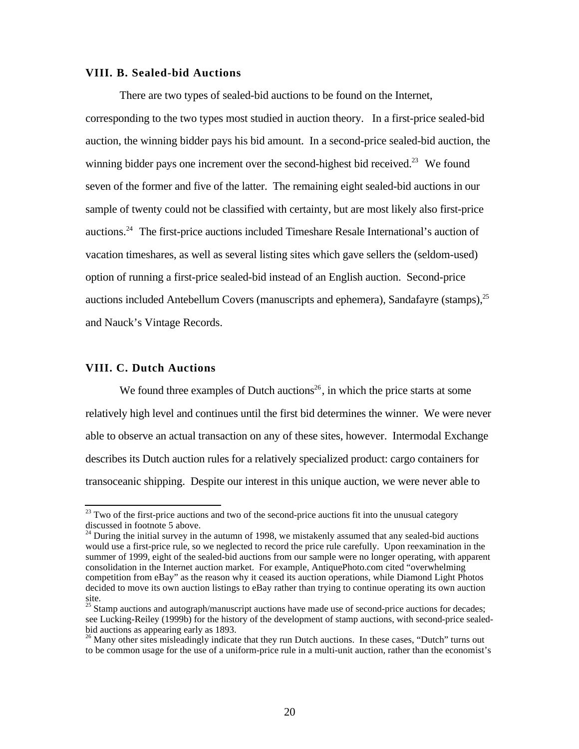#### **VIII. B. Sealed-bid Auctions**

There are two types of sealed-bid auctions to be found on the Internet, corresponding to the two types most studied in auction theory. In a first-price sealed-bid auction, the winning bidder pays his bid amount. In a second-price sealed-bid auction, the winning bidder pays one increment over the second-highest bid received.<sup>23</sup> We found seven of the former and five of the latter. The remaining eight sealed-bid auctions in our sample of twenty could not be classified with certainty, but are most likely also first-price auctions.<sup>24</sup> The first-price auctions included Timeshare Resale International's auction of vacation timeshares, as well as several listing sites which gave sellers the (seldom-used) option of running a first-price sealed-bid instead of an English auction. Second-price auctions included Antebellum Covers (manuscripts and ephemera), Sandafayre (stamps),<sup>25</sup> and Nauck's Vintage Records.

#### **VIII. C. Dutch Auctions**

ı

We found three examples of Dutch auctions<sup>26</sup>, in which the price starts at some relatively high level and continues until the first bid determines the winner. We were never able to observe an actual transaction on any of these sites, however. Intermodal Exchange describes its Dutch auction rules for a relatively specialized product: cargo containers for transoceanic shipping. Despite our interest in this unique auction, we were never able to

 $23$  Two of the first-price auctions and two of the second-price auctions fit into the unusual category discussed in footnote 5 above.

 $24$  During the initial survey in the autumn of 1998, we mistakenly assumed that any sealed-bid auctions would use a first-price rule, so we neglected to record the price rule carefully. Upon reexamination in the summer of 1999, eight of the sealed-bid auctions from our sample were no longer operating, with apparent consolidation in the Internet auction market. For example, AntiquePhoto.com cited "overwhelming competition from eBay" as the reason why it ceased its auction operations, while Diamond Light Photos decided to move its own auction listings to eBay rather than trying to continue operating its own auction site.

<sup>&</sup>lt;sup>25</sup> Stamp auctions and autograph/manuscript auctions have made use of second-price auctions for decades; see Lucking-Reiley (1999b) for the history of the development of stamp auctions, with second-price sealedbid auctions as appearing early as 1893.

<sup>&</sup>lt;sup>26</sup> Many other sites misleadingly indicate that they run Dutch auctions. In these cases, "Dutch" turns out to be common usage for the use of a uniform-price rule in a multi-unit auction, rather than the economist's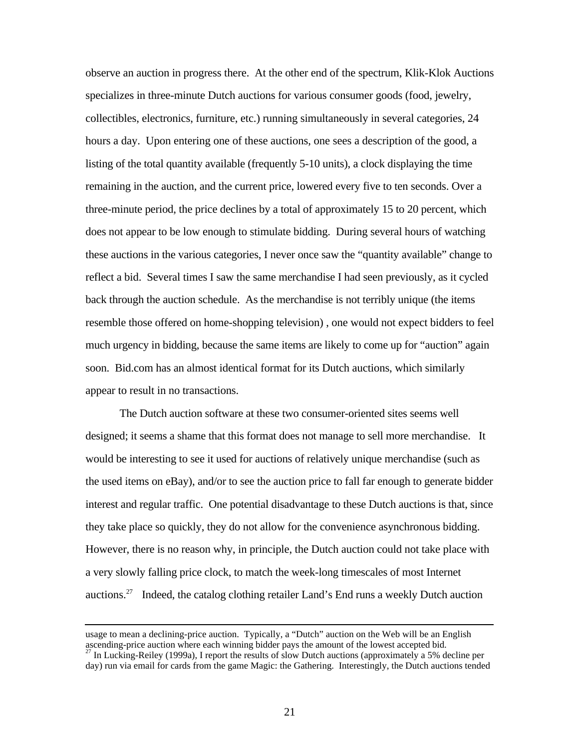observe an auction in progress there. At the other end of the spectrum, Klik-Klok Auctions specializes in three-minute Dutch auctions for various consumer goods (food, jewelry, collectibles, electronics, furniture, etc.) running simultaneously in several categories, 24 hours a day. Upon entering one of these auctions, one sees a description of the good, a listing of the total quantity available (frequently 5-10 units), a clock displaying the time remaining in the auction, and the current price, lowered every five to ten seconds. Over a three-minute period, the price declines by a total of approximately 15 to 20 percent, which does not appear to be low enough to stimulate bidding. During several hours of watching these auctions in the various categories, I never once saw the "quantity available" change to reflect a bid. Several times I saw the same merchandise I had seen previously, as it cycled back through the auction schedule. As the merchandise is not terribly unique (the items resemble those offered on home-shopping television) , one would not expect bidders to feel much urgency in bidding, because the same items are likely to come up for "auction" again soon. Bid.com has an almost identical format for its Dutch auctions, which similarly appear to result in no transactions.

The Dutch auction software at these two consumer-oriented sites seems well designed; it seems a shame that this format does not manage to sell more merchandise. It would be interesting to see it used for auctions of relatively unique merchandise (such as the used items on eBay), and/or to see the auction price to fall far enough to generate bidder interest and regular traffic. One potential disadvantage to these Dutch auctions is that, since they take place so quickly, they do not allow for the convenience asynchronous bidding. However, there is no reason why, in principle, the Dutch auction could not take place with a very slowly falling price clock, to match the week-long timescales of most Internet auctions.<sup>27</sup> Indeed, the catalog clothing retailer Land's End runs a weekly Dutch auction

ı

usage to mean a declining-price auction. Typically, a "Dutch" auction on the Web will be an English ascending-price auction where each winning bidder pays the amount of the lowest accepted bid.

 $^{27}$  In Lucking-Reiley (1999a), I report the results of slow Dutch auctions (approximately a 5% decline per day) run via email for cards from the game Magic: the Gathering. Interestingly, the Dutch auctions tended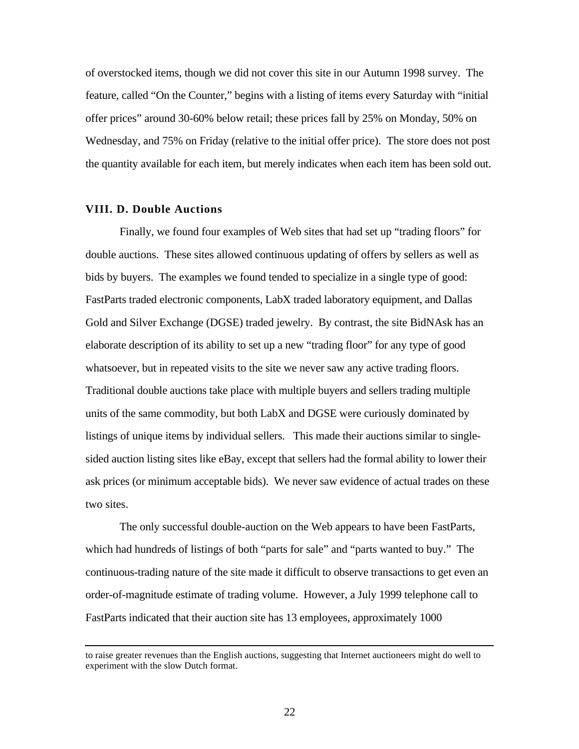of overstocked items, though we did not cover this site in our Autumn 1998 survey. The feature, called "On the Counter," begins with a listing of items every Saturday with "initial offer prices" around 30-60% below retail; these prices fall by 25% on Monday, 50% on Wednesday, and 75% on Friday (relative to the initial offer price). The store does not post the quantity available for each item, but merely indicates when each item has been sold out.

#### **VIII. D. Double Auctions**

 $\overline{a}$ 

Finally, we found four examples of Web sites that had set up "trading floors" for double auctions. These sites allowed continuous updating of offers by sellers as well as bids by buyers. The examples we found tended to specialize in a single type of good: FastParts traded electronic components, LabX traded laboratory equipment, and Dallas Gold and Silver Exchange (DGSE) traded jewelry. By contrast, the site BidNAsk has an elaborate description of its ability to set up a new "trading floor" for any type of good whatsoever, but in repeated visits to the site we never saw any active trading floors. Traditional double auctions take place with multiple buyers and sellers trading multiple units of the same commodity, but both LabX and DGSE were curiously dominated by listings of unique items by individual sellers. This made their auctions similar to singlesided auction listing sites like eBay, except that sellers had the formal ability to lower their ask prices (or minimum acceptable bids). We never saw evidence of actual trades on these two sites.

The only successful double-auction on the Web appears to have been FastParts, which had hundreds of listings of both "parts for sale" and "parts wanted to buy." The continuous-trading nature of the site made it difficult to observe transactions to get even an order-of-magnitude estimate of trading volume. However, a July 1999 telephone call to FastParts indicated that their auction site has 13 employees, approximately 1000

to raise greater revenues than the English auctions, suggesting that Internet auctioneers might do well to experiment with the slow Dutch format.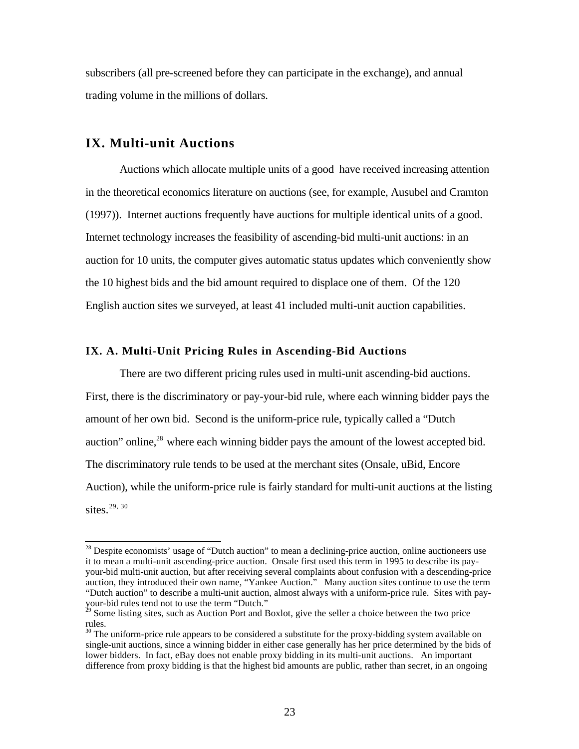subscribers (all pre-screened before they can participate in the exchange), and annual trading volume in the millions of dollars.

# **IX. Multi-unit Auctions**

 $\overline{a}$ 

Auctions which allocate multiple units of a good have received increasing attention in the theoretical economics literature on auctions (see, for example, Ausubel and Cramton (1997)). Internet auctions frequently have auctions for multiple identical units of a good. Internet technology increases the feasibility of ascending-bid multi-unit auctions: in an auction for 10 units, the computer gives automatic status updates which conveniently show the 10 highest bids and the bid amount required to displace one of them. Of the 120 English auction sites we surveyed, at least 41 included multi-unit auction capabilities.

#### **IX. A. Multi-Unit Pricing Rules in Ascending-Bid Auctions**

There are two different pricing rules used in multi-unit ascending-bid auctions. First, there is the discriminatory or pay-your-bid rule, where each winning bidder pays the amount of her own bid. Second is the uniform-price rule, typically called a "Dutch auction" online,<sup>28</sup> where each winning bidder pays the amount of the lowest accepted bid. The discriminatory rule tends to be used at the merchant sites (Onsale, uBid, Encore Auction), while the uniform-price rule is fairly standard for multi-unit auctions at the listing sites.<sup>29, 30</sup>

 $28$  Despite economists' usage of "Dutch auction" to mean a declining-price auction, online auctioneers use it to mean a multi-unit ascending-price auction. Onsale first used this term in 1995 to describe its payyour-bid multi-unit auction, but after receiving several complaints about confusion with a descending-price auction, they introduced their own name, "Yankee Auction." Many auction sites continue to use the term "Dutch auction" to describe a multi-unit auction, almost always with a uniform-price rule. Sites with payyour-bid rules tend not to use the term "Dutch."

 $^{29}$  Some listing sites, such as Auction Port and Boxlot, give the seller a choice between the two price rules.

<sup>&</sup>lt;sup>30</sup> The uniform-price rule appears to be considered a substitute for the proxy-bidding system available on single-unit auctions, since a winning bidder in either case generally has her price determined by the bids of lower bidders. In fact, eBay does not enable proxy bidding in its multi-unit auctions. An important difference from proxy bidding is that the highest bid amounts are public, rather than secret, in an ongoing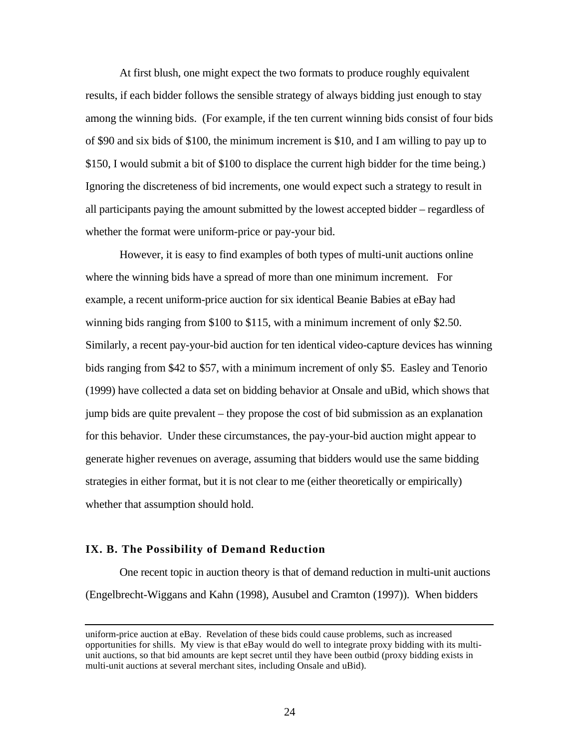At first blush, one might expect the two formats to produce roughly equivalent results, if each bidder follows the sensible strategy of always bidding just enough to stay among the winning bids. (For example, if the ten current winning bids consist of four bids of \$90 and six bids of \$100, the minimum increment is \$10, and I am willing to pay up to \$150, I would submit a bit of \$100 to displace the current high bidder for the time being.) Ignoring the discreteness of bid increments, one would expect such a strategy to result in all participants paying the amount submitted by the lowest accepted bidder – regardless of whether the format were uniform-price or pay-your bid.

However, it is easy to find examples of both types of multi-unit auctions online where the winning bids have a spread of more than one minimum increment. For example, a recent uniform-price auction for six identical Beanie Babies at eBay had winning bids ranging from \$100 to \$115, with a minimum increment of only \$2.50. Similarly, a recent pay-your-bid auction for ten identical video-capture devices has winning bids ranging from \$42 to \$57, with a minimum increment of only \$5. Easley and Tenorio (1999) have collected a data set on bidding behavior at Onsale and uBid, which shows that jump bids are quite prevalent – they propose the cost of bid submission as an explanation for this behavior. Under these circumstances, the pay-your-bid auction might appear to generate higher revenues on average, assuming that bidders would use the same bidding strategies in either format, but it is not clear to me (either theoretically or empirically) whether that assumption should hold.

#### **IX. B. The Possibility of Demand Reduction**

ı

One recent topic in auction theory is that of demand reduction in multi-unit auctions (Engelbrecht-Wiggans and Kahn (1998), Ausubel and Cramton (1997)). When bidders

uniform-price auction at eBay. Revelation of these bids could cause problems, such as increased opportunities for shills. My view is that eBay would do well to integrate proxy bidding with its multiunit auctions, so that bid amounts are kept secret until they have been outbid (proxy bidding exists in multi-unit auctions at several merchant sites, including Onsale and uBid).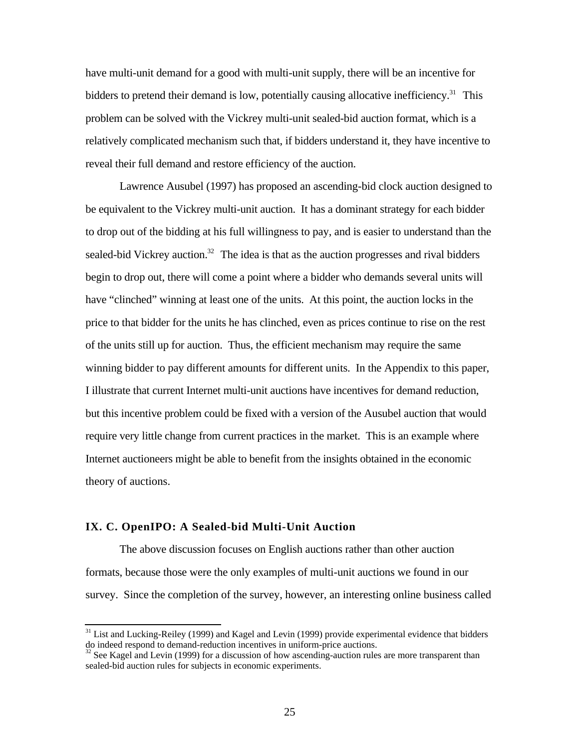have multi-unit demand for a good with multi-unit supply, there will be an incentive for bidders to pretend their demand is low, potentially causing allocative inefficiency.<sup>31</sup> This problem can be solved with the Vickrey multi-unit sealed-bid auction format, which is a relatively complicated mechanism such that, if bidders understand it, they have incentive to reveal their full demand and restore efficiency of the auction.

Lawrence Ausubel (1997) has proposed an ascending-bid clock auction designed to be equivalent to the Vickrey multi-unit auction. It has a dominant strategy for each bidder to drop out of the bidding at his full willingness to pay, and is easier to understand than the sealed-bid Vickrey auction.<sup>32</sup> The idea is that as the auction progresses and rival bidders begin to drop out, there will come a point where a bidder who demands several units will have "clinched" winning at least one of the units. At this point, the auction locks in the price to that bidder for the units he has clinched, even as prices continue to rise on the rest of the units still up for auction. Thus, the efficient mechanism may require the same winning bidder to pay different amounts for different units. In the Appendix to this paper, I illustrate that current Internet multi-unit auctions have incentives for demand reduction, but this incentive problem could be fixed with a version of the Ausubel auction that would require very little change from current practices in the market. This is an example where Internet auctioneers might be able to benefit from the insights obtained in the economic theory of auctions.

#### **IX. C. OpenIPO: A Sealed-bid Multi-Unit Auction**

ı

The above discussion focuses on English auctions rather than other auction formats, because those were the only examples of multi-unit auctions we found in our survey. Since the completion of the survey, however, an interesting online business called

<sup>&</sup>lt;sup>31</sup> List and Lucking-Reiley (1999) and Kagel and Levin (1999) provide experimental evidence that bidders do indeed respond to demand-reduction incentives in uniform-price auctions.

 $32$  See Kagel and Levin (1999) for a discussion of how ascending-auction rules are more transparent than sealed-bid auction rules for subjects in economic experiments.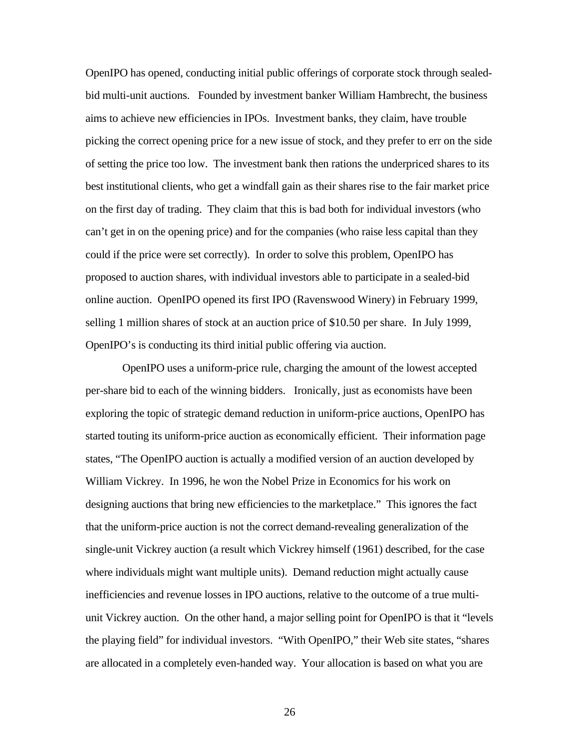OpenIPO has opened, conducting initial public offerings of corporate stock through sealedbid multi-unit auctions. Founded by investment banker William Hambrecht, the business aims to achieve new efficiencies in IPOs. Investment banks, they claim, have trouble picking the correct opening price for a new issue of stock, and they prefer to err on the side of setting the price too low. The investment bank then rations the underpriced shares to its best institutional clients, who get a windfall gain as their shares rise to the fair market price on the first day of trading. They claim that this is bad both for individual investors (who can't get in on the opening price) and for the companies (who raise less capital than they could if the price were set correctly). In order to solve this problem, OpenIPO has proposed to auction shares, with individual investors able to participate in a sealed-bid online auction. OpenIPO opened its first IPO (Ravenswood Winery) in February 1999, selling 1 million shares of stock at an auction price of \$10.50 per share. In July 1999, OpenIPO's is conducting its third initial public offering via auction.

 OpenIPO uses a uniform-price rule, charging the amount of the lowest accepted per-share bid to each of the winning bidders. Ironically, just as economists have been exploring the topic of strategic demand reduction in uniform-price auctions, OpenIPO has started touting its uniform-price auction as economically efficient. Their information page states, "The OpenIPO auction is actually a modified version of an auction developed by William Vickrey. In 1996, he won the Nobel Prize in Economics for his work on designing auctions that bring new efficiencies to the marketplace." This ignores the fact that the uniform-price auction is not the correct demand-revealing generalization of the single-unit Vickrey auction (a result which Vickrey himself (1961) described, for the case where individuals might want multiple units). Demand reduction might actually cause inefficiencies and revenue losses in IPO auctions, relative to the outcome of a true multiunit Vickrey auction. On the other hand, a major selling point for OpenIPO is that it "levels the playing field" for individual investors. "With OpenIPO," their Web site states, "shares are allocated in a completely even-handed way. Your allocation is based on what you are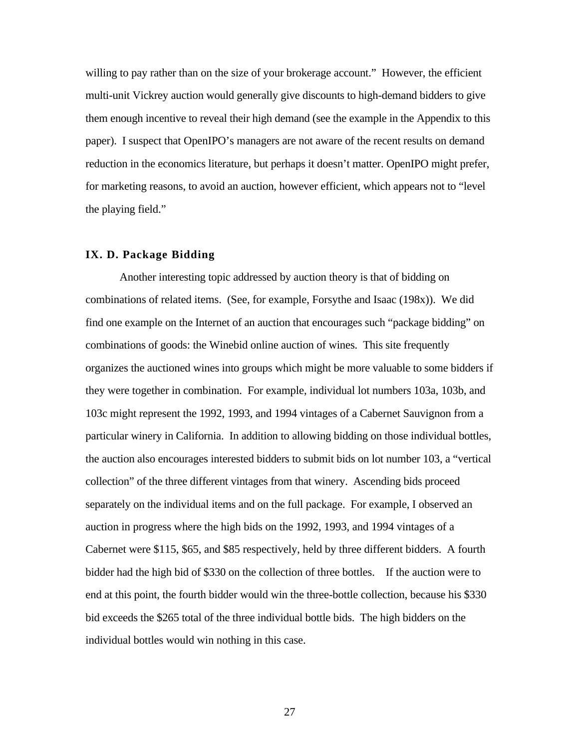willing to pay rather than on the size of your brokerage account." However, the efficient multi-unit Vickrey auction would generally give discounts to high-demand bidders to give them enough incentive to reveal their high demand (see the example in the Appendix to this paper). I suspect that OpenIPO's managers are not aware of the recent results on demand reduction in the economics literature, but perhaps it doesn't matter. OpenIPO might prefer, for marketing reasons, to avoid an auction, however efficient, which appears not to "level the playing field."

#### **IX. D. Package Bidding**

Another interesting topic addressed by auction theory is that of bidding on combinations of related items. (See, for example, Forsythe and Isaac (198x)). We did find one example on the Internet of an auction that encourages such "package bidding" on combinations of goods: the Winebid online auction of wines. This site frequently organizes the auctioned wines into groups which might be more valuable to some bidders if they were together in combination. For example, individual lot numbers 103a, 103b, and 103c might represent the 1992, 1993, and 1994 vintages of a Cabernet Sauvignon from a particular winery in California. In addition to allowing bidding on those individual bottles, the auction also encourages interested bidders to submit bids on lot number 103, a "vertical collection" of the three different vintages from that winery. Ascending bids proceed separately on the individual items and on the full package. For example, I observed an auction in progress where the high bids on the 1992, 1993, and 1994 vintages of a Cabernet were \$115, \$65, and \$85 respectively, held by three different bidders. A fourth bidder had the high bid of \$330 on the collection of three bottles. If the auction were to end at this point, the fourth bidder would win the three-bottle collection, because his \$330 bid exceeds the \$265 total of the three individual bottle bids. The high bidders on the individual bottles would win nothing in this case.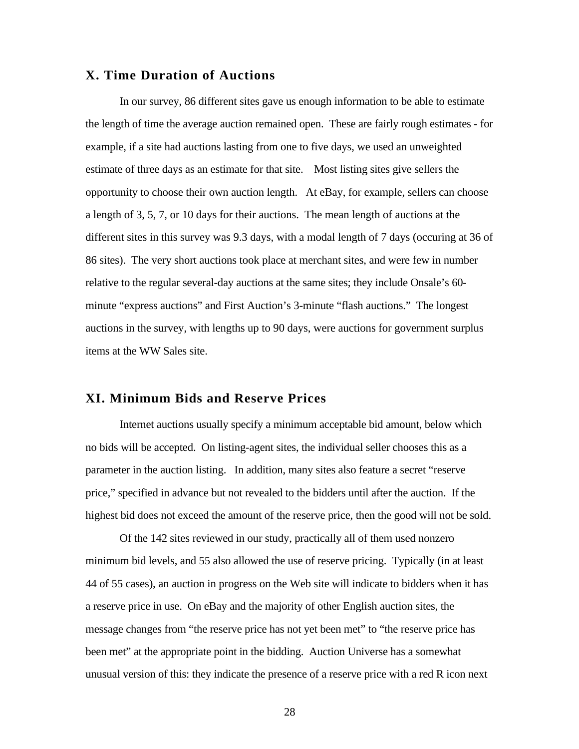# **X. Time Duration of Auctions**

In our survey, 86 different sites gave us enough information to be able to estimate the length of time the average auction remained open. These are fairly rough estimates - for example, if a site had auctions lasting from one to five days, we used an unweighted estimate of three days as an estimate for that site. Most listing sites give sellers the opportunity to choose their own auction length. At eBay, for example, sellers can choose a length of 3, 5, 7, or 10 days for their auctions. The mean length of auctions at the different sites in this survey was 9.3 days, with a modal length of 7 days (occuring at 36 of 86 sites). The very short auctions took place at merchant sites, and were few in number relative to the regular several-day auctions at the same sites; they include Onsale's 60 minute "express auctions" and First Auction's 3-minute "flash auctions." The longest auctions in the survey, with lengths up to 90 days, were auctions for government surplus items at the WW Sales site.

# **XI. Minimum Bids and Reserve Prices**

Internet auctions usually specify a minimum acceptable bid amount, below which no bids will be accepted. On listing-agent sites, the individual seller chooses this as a parameter in the auction listing. In addition, many sites also feature a secret "reserve price," specified in advance but not revealed to the bidders until after the auction. If the highest bid does not exceed the amount of the reserve price, then the good will not be sold.

Of the 142 sites reviewed in our study, practically all of them used nonzero minimum bid levels, and 55 also allowed the use of reserve pricing. Typically (in at least 44 of 55 cases), an auction in progress on the Web site will indicate to bidders when it has a reserve price in use. On eBay and the majority of other English auction sites, the message changes from "the reserve price has not yet been met" to "the reserve price has been met" at the appropriate point in the bidding. Auction Universe has a somewhat unusual version of this: they indicate the presence of a reserve price with a red R icon next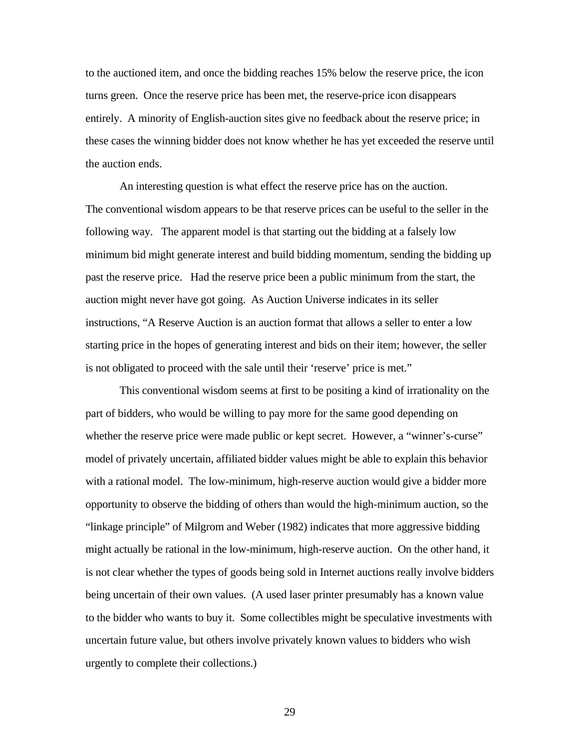to the auctioned item, and once the bidding reaches 15% below the reserve price, the icon turns green. Once the reserve price has been met, the reserve-price icon disappears entirely. A minority of English-auction sites give no feedback about the reserve price; in these cases the winning bidder does not know whether he has yet exceeded the reserve until the auction ends.

An interesting question is what effect the reserve price has on the auction. The conventional wisdom appears to be that reserve prices can be useful to the seller in the following way. The apparent model is that starting out the bidding at a falsely low minimum bid might generate interest and build bidding momentum, sending the bidding up past the reserve price. Had the reserve price been a public minimum from the start, the auction might never have got going. As Auction Universe indicates in its seller instructions, "A Reserve Auction is an auction format that allows a seller to enter a low starting price in the hopes of generating interest and bids on their item; however, the seller is not obligated to proceed with the sale until their 'reserve' price is met."

This conventional wisdom seems at first to be positing a kind of irrationality on the part of bidders, who would be willing to pay more for the same good depending on whether the reserve price were made public or kept secret. However, a "winner's-curse" model of privately uncertain, affiliated bidder values might be able to explain this behavior with a rational model. The low-minimum, high-reserve auction would give a bidder more opportunity to observe the bidding of others than would the high-minimum auction, so the "linkage principle" of Milgrom and Weber (1982) indicates that more aggressive bidding might actually be rational in the low-minimum, high-reserve auction. On the other hand, it is not clear whether the types of goods being sold in Internet auctions really involve bidders being uncertain of their own values. (A used laser printer presumably has a known value to the bidder who wants to buy it. Some collectibles might be speculative investments with uncertain future value, but others involve privately known values to bidders who wish urgently to complete their collections.)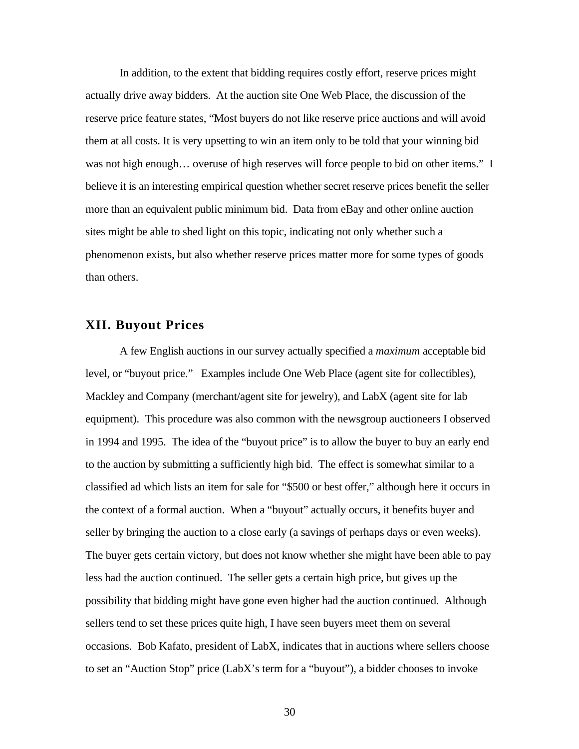In addition, to the extent that bidding requires costly effort, reserve prices might actually drive away bidders. At the auction site One Web Place, the discussion of the reserve price feature states, "Most buyers do not like reserve price auctions and will avoid them at all costs. It is very upsetting to win an item only to be told that your winning bid was not high enough… overuse of high reserves will force people to bid on other items." I believe it is an interesting empirical question whether secret reserve prices benefit the seller more than an equivalent public minimum bid. Data from eBay and other online auction sites might be able to shed light on this topic, indicating not only whether such a phenomenon exists, but also whether reserve prices matter more for some types of goods than others.

# **XII. Buyout Prices**

A few English auctions in our survey actually specified a *maximum* acceptable bid level, or "buyout price." Examples include One Web Place (agent site for collectibles), Mackley and Company (merchant/agent site for jewelry), and LabX (agent site for lab equipment). This procedure was also common with the newsgroup auctioneers I observed in 1994 and 1995. The idea of the "buyout price" is to allow the buyer to buy an early end to the auction by submitting a sufficiently high bid. The effect is somewhat similar to a classified ad which lists an item for sale for "\$500 or best offer," although here it occurs in the context of a formal auction. When a "buyout" actually occurs, it benefits buyer and seller by bringing the auction to a close early (a savings of perhaps days or even weeks). The buyer gets certain victory, but does not know whether she might have been able to pay less had the auction continued. The seller gets a certain high price, but gives up the possibility that bidding might have gone even higher had the auction continued. Although sellers tend to set these prices quite high, I have seen buyers meet them on several occasions. Bob Kafato, president of LabX, indicates that in auctions where sellers choose to set an "Auction Stop" price (LabX's term for a "buyout"), a bidder chooses to invoke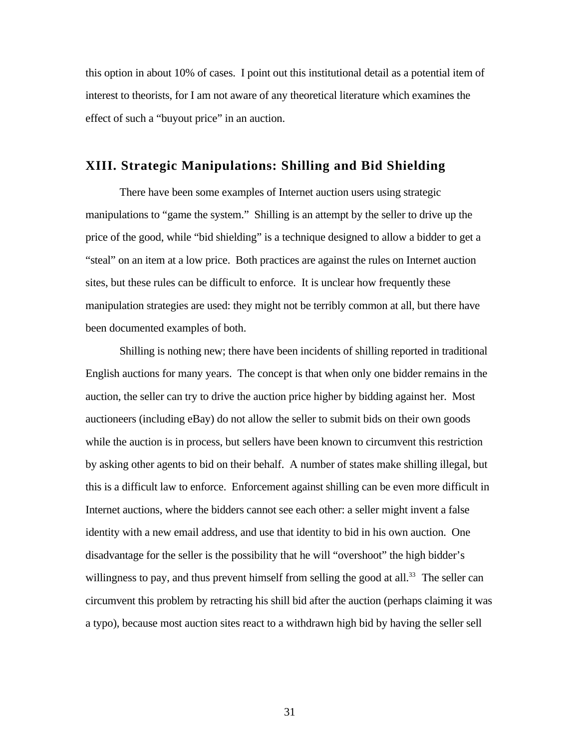this option in about 10% of cases. I point out this institutional detail as a potential item of interest to theorists, for I am not aware of any theoretical literature which examines the effect of such a "buyout price" in an auction.

# **XIII. Strategic Manipulations: Shilling and Bid Shielding**

There have been some examples of Internet auction users using strategic manipulations to "game the system." Shilling is an attempt by the seller to drive up the price of the good, while "bid shielding" is a technique designed to allow a bidder to get a "steal" on an item at a low price. Both practices are against the rules on Internet auction sites, but these rules can be difficult to enforce. It is unclear how frequently these manipulation strategies are used: they might not be terribly common at all, but there have been documented examples of both.

Shilling is nothing new; there have been incidents of shilling reported in traditional English auctions for many years. The concept is that when only one bidder remains in the auction, the seller can try to drive the auction price higher by bidding against her. Most auctioneers (including eBay) do not allow the seller to submit bids on their own goods while the auction is in process, but sellers have been known to circumvent this restriction by asking other agents to bid on their behalf. A number of states make shilling illegal, but this is a difficult law to enforce. Enforcement against shilling can be even more difficult in Internet auctions, where the bidders cannot see each other: a seller might invent a false identity with a new email address, and use that identity to bid in his own auction. One disadvantage for the seller is the possibility that he will "overshoot" the high bidder's willingness to pay, and thus prevent himself from selling the good at all.<sup>33</sup> The seller can circumvent this problem by retracting his shill bid after the auction (perhaps claiming it was a typo), because most auction sites react to a withdrawn high bid by having the seller sell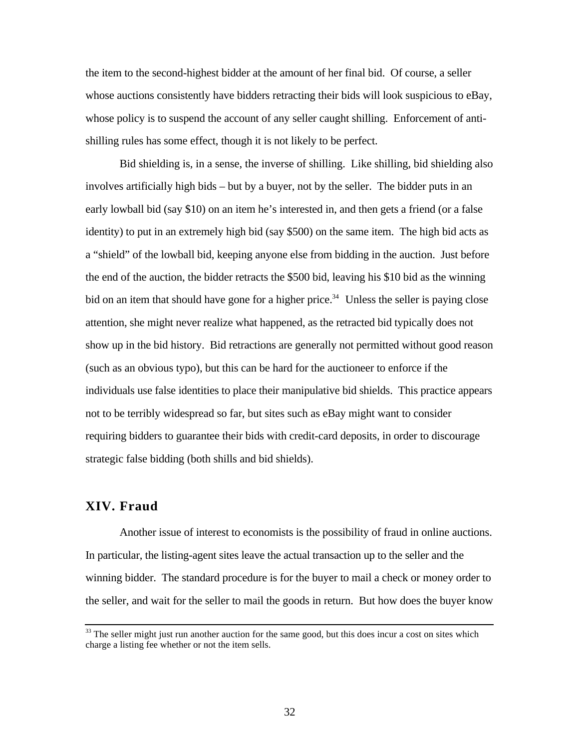the item to the second-highest bidder at the amount of her final bid. Of course, a seller whose auctions consistently have bidders retracting their bids will look suspicious to eBay, whose policy is to suspend the account of any seller caught shilling. Enforcement of antishilling rules has some effect, though it is not likely to be perfect.

Bid shielding is, in a sense, the inverse of shilling. Like shilling, bid shielding also involves artificially high bids – but by a buyer, not by the seller. The bidder puts in an early lowball bid (say \$10) on an item he's interested in, and then gets a friend (or a false identity) to put in an extremely high bid (say \$500) on the same item. The high bid acts as a "shield" of the lowball bid, keeping anyone else from bidding in the auction. Just before the end of the auction, the bidder retracts the \$500 bid, leaving his \$10 bid as the winning bid on an item that should have gone for a higher price.<sup>34</sup> Unless the seller is paying close attention, she might never realize what happened, as the retracted bid typically does not show up in the bid history. Bid retractions are generally not permitted without good reason (such as an obvious typo), but this can be hard for the auctioneer to enforce if the individuals use false identities to place their manipulative bid shields. This practice appears not to be terribly widespread so far, but sites such as eBay might want to consider requiring bidders to guarantee their bids with credit-card deposits, in order to discourage strategic false bidding (both shills and bid shields).

# **XIV. Fraud**

ı

Another issue of interest to economists is the possibility of fraud in online auctions. In particular, the listing-agent sites leave the actual transaction up to the seller and the winning bidder. The standard procedure is for the buyer to mail a check or money order to the seller, and wait for the seller to mail the goods in return. But how does the buyer know

<sup>&</sup>lt;sup>33</sup> The seller might just run another auction for the same good, but this does incur a cost on sites which charge a listing fee whether or not the item sells.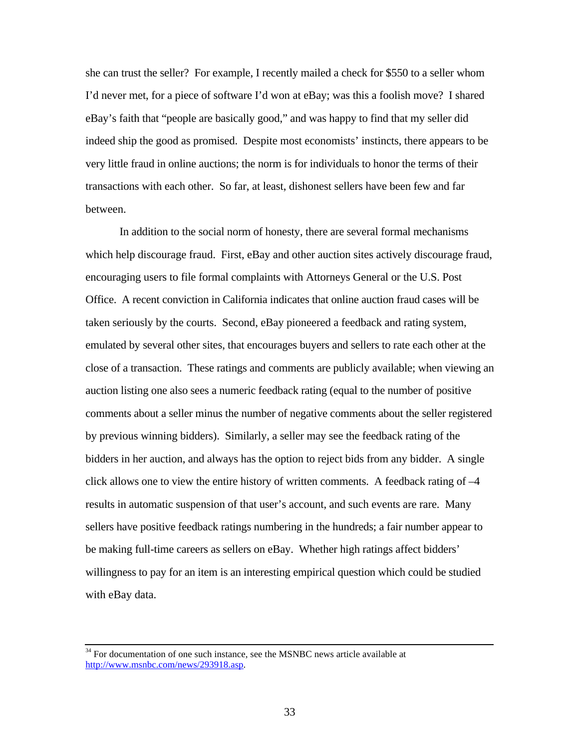she can trust the seller? For example, I recently mailed a check for \$550 to a seller whom I'd never met, for a piece of software I'd won at eBay; was this a foolish move? I shared eBay's faith that "people are basically good," and was happy to find that my seller did indeed ship the good as promised. Despite most economists' instincts, there appears to be very little fraud in online auctions; the norm is for individuals to honor the terms of their transactions with each other. So far, at least, dishonest sellers have been few and far between.

In addition to the social norm of honesty, there are several formal mechanisms which help discourage fraud. First, eBay and other auction sites actively discourage fraud, encouraging users to file formal complaints with Attorneys General or the U.S. Post Office. A recent conviction in California indicates that online auction fraud cases will be taken seriously by the courts. Second, eBay pioneered a feedback and rating system, emulated by several other sites, that encourages buyers and sellers to rate each other at the close of a transaction. These ratings and comments are publicly available; when viewing an auction listing one also sees a numeric feedback rating (equal to the number of positive comments about a seller minus the number of negative comments about the seller registered by previous winning bidders). Similarly, a seller may see the feedback rating of the bidders in her auction, and always has the option to reject bids from any bidder. A single click allows one to view the entire history of written comments. A feedback rating of  $-4$ results in automatic suspension of that user's account, and such events are rare. Many sellers have positive feedback ratings numbering in the hundreds; a fair number appear to be making full-time careers as sellers on eBay. Whether high ratings affect bidders' willingness to pay for an item is an interesting empirical question which could be studied with eBay data.

ı

 $34$  For documentation of one such instance, see the MSNBC news article available at http://www.msnbc.com/news/293918.asp.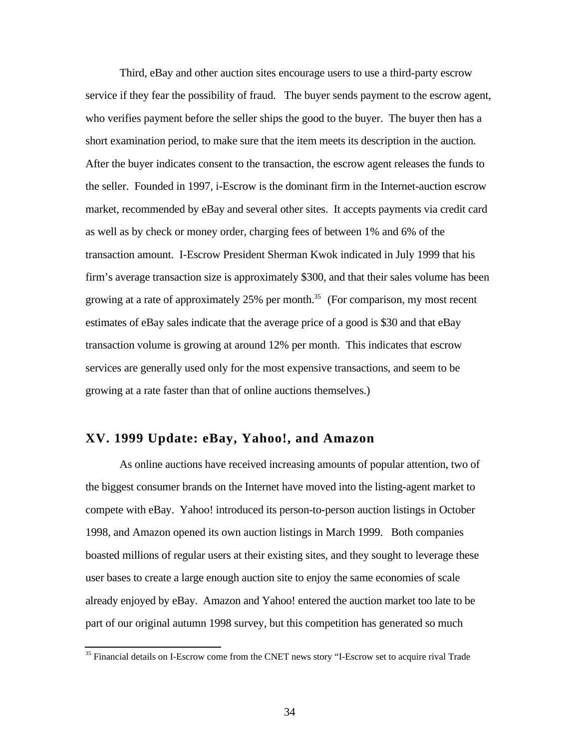Third, eBay and other auction sites encourage users to use a third-party escrow service if they fear the possibility of fraud. The buyer sends payment to the escrow agent, who verifies payment before the seller ships the good to the buyer. The buyer then has a short examination period, to make sure that the item meets its description in the auction. After the buyer indicates consent to the transaction, the escrow agent releases the funds to the seller. Founded in 1997, i-Escrow is the dominant firm in the Internet-auction escrow market, recommended by eBay and several other sites. It accepts payments via credit card as well as by check or money order, charging fees of between 1% and 6% of the transaction amount. I-Escrow President Sherman Kwok indicated in July 1999 that his firm's average transaction size is approximately \$300, and that their sales volume has been growing at a rate of approximately  $25\%$  per month.<sup>35</sup> (For comparison, my most recent estimates of eBay sales indicate that the average price of a good is \$30 and that eBay transaction volume is growing at around 12% per month. This indicates that escrow services are generally used only for the most expensive transactions, and seem to be growing at a rate faster than that of online auctions themselves.)

# **XV. 1999 Update: eBay, Yahoo!, and Amazon**

ı

As online auctions have received increasing amounts of popular attention, two of the biggest consumer brands on the Internet have moved into the listing-agent market to compete with eBay. Yahoo! introduced its person-to-person auction listings in October 1998, and Amazon opened its own auction listings in March 1999. Both companies boasted millions of regular users at their existing sites, and they sought to leverage these user bases to create a large enough auction site to enjoy the same economies of scale already enjoyed by eBay. Amazon and Yahoo! entered the auction market too late to be part of our original autumn 1998 survey, but this competition has generated so much

<sup>&</sup>lt;sup>35</sup> Financial details on I-Escrow come from the CNET news story "I-Escrow set to acquire rival Trade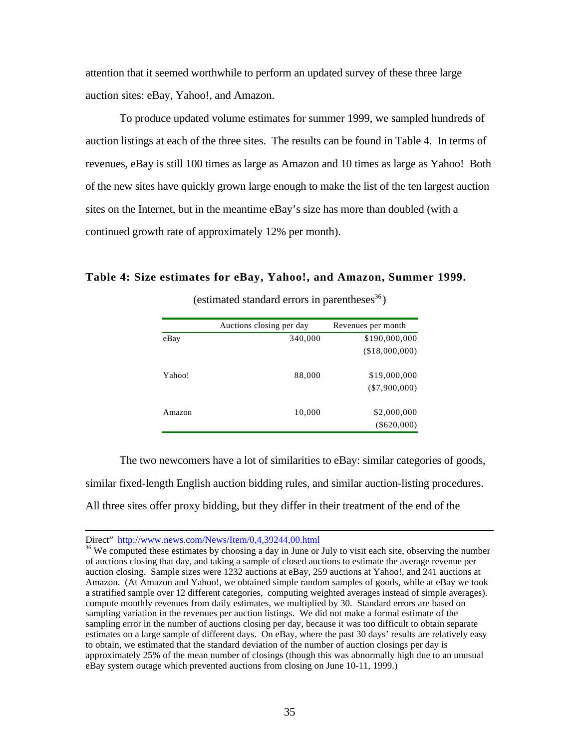attention that it seemed worthwhile to perform an updated survey of these three large auction sites: eBay, Yahoo!, and Amazon.

To produce updated volume estimates for summer 1999, we sampled hundreds of auction listings at each of the three sites. The results can be found in Table 4. In terms of revenues, eBay is still 100 times as large as Amazon and 10 times as large as Yahoo! Both of the new sites have quickly grown large enough to make the list of the ten largest auction sites on the Internet, but in the meantime eBay's size has more than doubled (with a continued growth rate of approximately 12% per month).

**Table 4: Size estimates for eBay, Yahoo!, and Amazon, Summer 1999.**

|        | Auctions closing per day | Revenues per month |
|--------|--------------------------|--------------------|
| eBay   | 340,000                  | \$190,000,000      |
|        |                          | (\$18,000,000)     |
| Yahoo! | 88,000                   | \$19,000,000       |
|        |                          | $(\$7,900,000)$    |
| Amazon | 10,000                   | \$2,000,000        |
|        |                          | $(\$620,000)$      |

(estimated standard errors in parentheses $^{36}$ )

The two newcomers have a lot of similarities to eBay: similar categories of goods, similar fixed-length English auction bidding rules, and similar auction-listing procedures. All three sites offer proxy bidding, but they differ in their treatment of the end of the

 $\overline{a}$ 

Direct" http://www.news.com/News/Item/0,4,39244,00.html

<sup>&</sup>lt;sup>36</sup> We computed these estimates by choosing a day in June or July to visit each site, observing the number of auctions closing that day, and taking a sample of closed auctions to estimate the average revenue per auction closing. Sample sizes were 1232 auctions at eBay, 259 auctions at Yahoo!, and 241 auctions at Amazon. (At Amazon and Yahoo!, we obtained simple random samples of goods, while at eBay we took a stratified sample over 12 different categories, computing weighted averages instead of simple averages). compute monthly revenues from daily estimates, we multiplied by 30. Standard errors are based on sampling variation in the revenues per auction listings. We did not make a formal estimate of the sampling error in the number of auctions closing per day, because it was too difficult to obtain separate estimates on a large sample of different days. On eBay, where the past 30 days' results are relatively easy to obtain, we estimated that the standard deviation of the number of auction closings per day is approximately 25% of the mean number of closings (though this was abnormally high due to an unusual eBay system outage which prevented auctions from closing on June 10-11, 1999.)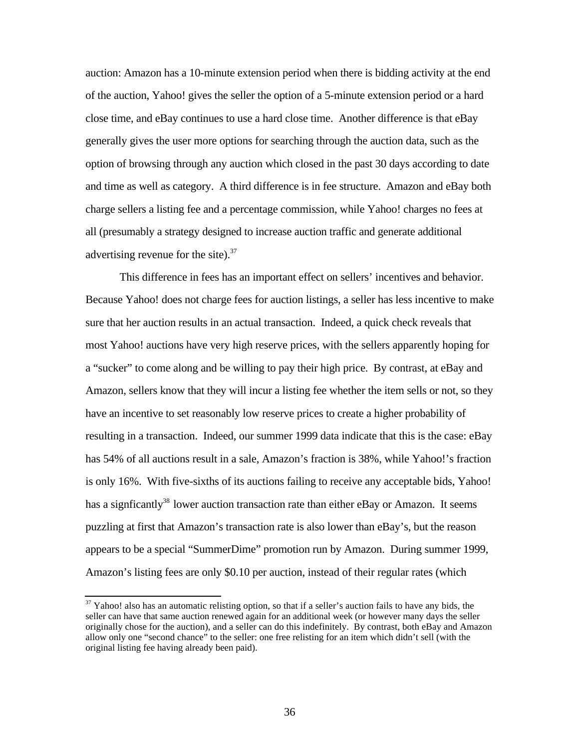auction: Amazon has a 10-minute extension period when there is bidding activity at the end of the auction, Yahoo! gives the seller the option of a 5-minute extension period or a hard close time, and eBay continues to use a hard close time. Another difference is that eBay generally gives the user more options for searching through the auction data, such as the option of browsing through any auction which closed in the past 30 days according to date and time as well as category. A third difference is in fee structure. Amazon and eBay both charge sellers a listing fee and a percentage commission, while Yahoo! charges no fees at all (presumably a strategy designed to increase auction traffic and generate additional advertising revenue for the site). $37$ 

This difference in fees has an important effect on sellers' incentives and behavior. Because Yahoo! does not charge fees for auction listings, a seller has less incentive to make sure that her auction results in an actual transaction. Indeed, a quick check reveals that most Yahoo! auctions have very high reserve prices, with the sellers apparently hoping for a "sucker" to come along and be willing to pay their high price. By contrast, at eBay and Amazon, sellers know that they will incur a listing fee whether the item sells or not, so they have an incentive to set reasonably low reserve prices to create a higher probability of resulting in a transaction. Indeed, our summer 1999 data indicate that this is the case: eBay has 54% of all auctions result in a sale, Amazon's fraction is 38%, while Yahoo!'s fraction is only 16%. With five-sixths of its auctions failing to receive any acceptable bids, Yahoo! has a signficantly<sup>38</sup> lower auction transaction rate than either eBay or Amazon. It seems puzzling at first that Amazon's transaction rate is also lower than eBay's, but the reason appears to be a special "SummerDime" promotion run by Amazon. During summer 1999, Amazon's listing fees are only \$0.10 per auction, instead of their regular rates (which

ı

 $37$  Yahoo! also has an automatic relisting option, so that if a seller's auction fails to have any bids, the seller can have that same auction renewed again for an additional week (or however many days the seller originally chose for the auction), and a seller can do this indefinitely. By contrast, both eBay and Amazon allow only one "second chance" to the seller: one free relisting for an item which didn't sell (with the original listing fee having already been paid).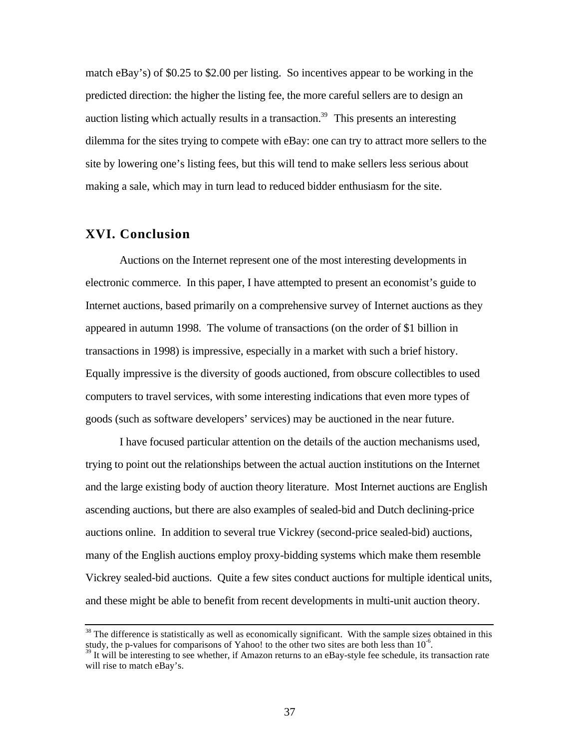match eBay's) of \$0.25 to \$2.00 per listing. So incentives appear to be working in the predicted direction: the higher the listing fee, the more careful sellers are to design an auction listing which actually results in a transaction.<sup>39</sup> This presents an interesting dilemma for the sites trying to compete with eBay: one can try to attract more sellers to the site by lowering one's listing fees, but this will tend to make sellers less serious about making a sale, which may in turn lead to reduced bidder enthusiasm for the site.

# **XVI. Conclusion**

ı

Auctions on the Internet represent one of the most interesting developments in electronic commerce. In this paper, I have attempted to present an economist's guide to Internet auctions, based primarily on a comprehensive survey of Internet auctions as they appeared in autumn 1998. The volume of transactions (on the order of \$1 billion in transactions in 1998) is impressive, especially in a market with such a brief history. Equally impressive is the diversity of goods auctioned, from obscure collectibles to used computers to travel services, with some interesting indications that even more types of goods (such as software developers' services) may be auctioned in the near future.

I have focused particular attention on the details of the auction mechanisms used, trying to point out the relationships between the actual auction institutions on the Internet and the large existing body of auction theory literature. Most Internet auctions are English ascending auctions, but there are also examples of sealed-bid and Dutch declining-price auctions online. In addition to several true Vickrey (second-price sealed-bid) auctions, many of the English auctions employ proxy-bidding systems which make them resemble Vickrey sealed-bid auctions. Quite a few sites conduct auctions for multiple identical units, and these might be able to benefit from recent developments in multi-unit auction theory.

 $38$  The difference is statistically as well as economically significant. With the sample sizes obtained in this study, the p-values for comparisons of Yahoo! to the other two sites are both less than  $10^{-6}$ .

 $39$  It will be interesting to see whether, if Amazon returns to an eBay-style fee schedule, its transaction rate will rise to match eBay's.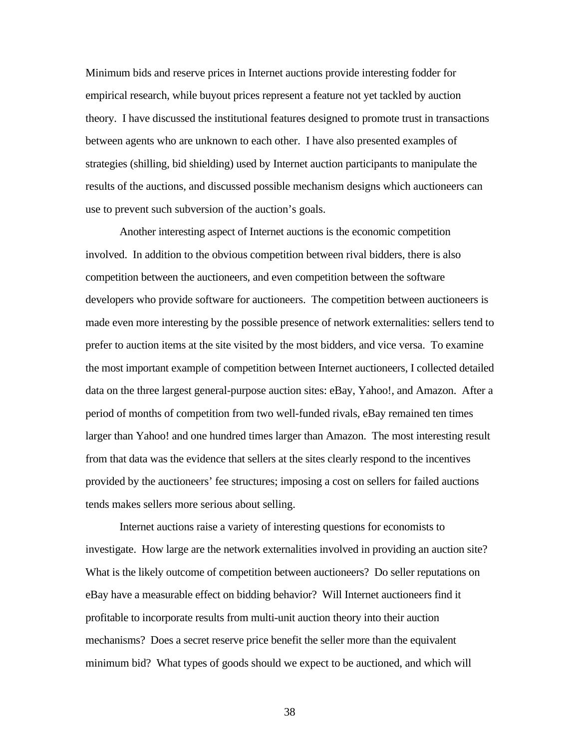Minimum bids and reserve prices in Internet auctions provide interesting fodder for empirical research, while buyout prices represent a feature not yet tackled by auction theory. I have discussed the institutional features designed to promote trust in transactions between agents who are unknown to each other. I have also presented examples of strategies (shilling, bid shielding) used by Internet auction participants to manipulate the results of the auctions, and discussed possible mechanism designs which auctioneers can use to prevent such subversion of the auction's goals.

Another interesting aspect of Internet auctions is the economic competition involved. In addition to the obvious competition between rival bidders, there is also competition between the auctioneers, and even competition between the software developers who provide software for auctioneers. The competition between auctioneers is made even more interesting by the possible presence of network externalities: sellers tend to prefer to auction items at the site visited by the most bidders, and vice versa. To examine the most important example of competition between Internet auctioneers, I collected detailed data on the three largest general-purpose auction sites: eBay, Yahoo!, and Amazon. After a period of months of competition from two well-funded rivals, eBay remained ten times larger than Yahoo! and one hundred times larger than Amazon. The most interesting result from that data was the evidence that sellers at the sites clearly respond to the incentives provided by the auctioneers' fee structures; imposing a cost on sellers for failed auctions tends makes sellers more serious about selling.

Internet auctions raise a variety of interesting questions for economists to investigate. How large are the network externalities involved in providing an auction site? What is the likely outcome of competition between auctioneers? Do seller reputations on eBay have a measurable effect on bidding behavior? Will Internet auctioneers find it profitable to incorporate results from multi-unit auction theory into their auction mechanisms? Does a secret reserve price benefit the seller more than the equivalent minimum bid? What types of goods should we expect to be auctioned, and which will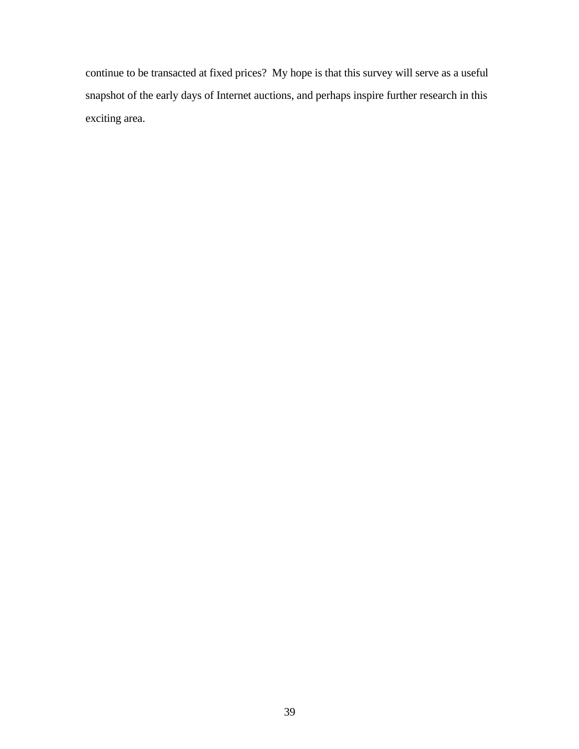continue to be transacted at fixed prices? My hope is that this survey will serve as a useful snapshot of the early days of Internet auctions, and perhaps inspire further research in this exciting area.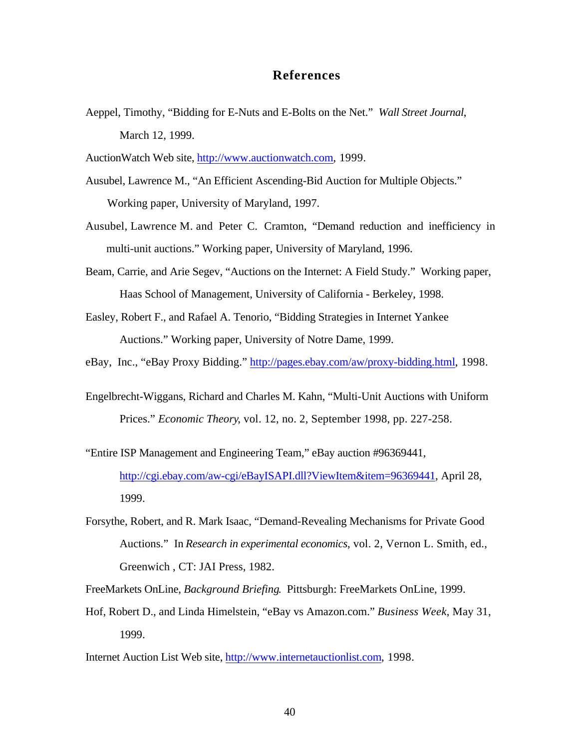# **References**

- Aeppel, Timothy, "Bidding for E-Nuts and E-Bolts on the Net." *Wall Street Journal*, March 12, 1999.
- AuctionWatch Web site, http://www.auctionwatch.com, 1999.
- Ausubel, Lawrence M., "An Efficient Ascending-Bid Auction for Multiple Objects." Working paper, University of Maryland, 1997.
- Ausubel, Lawrence M. and Peter C. Cramton, "Demand reduction and inefficiency in multi-unit auctions." Working paper, University of Maryland, 1996.
- Beam, Carrie, and Arie Segev, "Auctions on the Internet: A Field Study." Working paper, Haas School of Management, University of California - Berkeley, 1998.
- Easley, Robert F., and Rafael A. Tenorio, "Bidding Strategies in Internet Yankee Auctions." Working paper, University of Notre Dame, 1999.
- eBay, Inc., "eBay Proxy Bidding." http://pages.ebay.com/aw/proxy-bidding.html, 1998.
- Engelbrecht-Wiggans, Richard and Charles M. Kahn, "Multi-Unit Auctions with Uniform Prices." *Economic Theory*, vol. 12, no. 2, September 1998, pp. 227-258.
- "Entire ISP Management and Engineering Team," eBay auction #96369441, http://cgi.ebay.com/aw-cgi/eBayISAPI.dll?ViewItem&item=96369441, April 28, 1999.
- Forsythe, Robert, and R. Mark Isaac, "Demand-Revealing Mechanisms for Private Good Auctions." In *Research in experimental economics*, vol. 2, Vernon L. Smith, ed., Greenwich , CT: JAI Press, 1982.
- FreeMarkets OnLine, *Background Briefing*. Pittsburgh: FreeMarkets OnLine, 1999.
- Hof, Robert D., and Linda Himelstein, "eBay vs Amazon.com." *Business Week*, May 31, 1999.
- Internet Auction List Web site, http://www.internetauctionlist.com, 1998.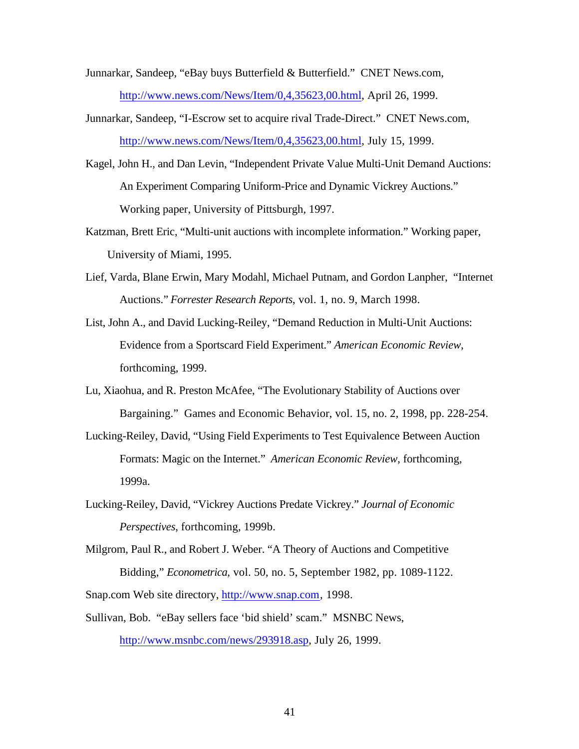- Junnarkar, Sandeep, "eBay buys Butterfield & Butterfield." CNET News.com, http://www.news.com/News/Item/0,4,35623,00.html, April 26, 1999.
- Junnarkar, Sandeep, "I-Escrow set to acquire rival Trade-Direct." CNET News.com, http://www.news.com/News/Item/0,4,35623,00.html, July 15, 1999.
- Kagel, John H., and Dan Levin, "Independent Private Value Multi-Unit Demand Auctions: An Experiment Comparing Uniform-Price and Dynamic Vickrey Auctions." Working paper, University of Pittsburgh, 1997.
- Katzman, Brett Eric, "Multi-unit auctions with incomplete information." Working paper, University of Miami, 1995.
- Lief, Varda, Blane Erwin, Mary Modahl, Michael Putnam, and Gordon Lanpher, "Internet Auctions." *Forrester Research Reports*, vol. 1, no. 9, March 1998.
- List, John A., and David Lucking-Reiley, "Demand Reduction in Multi-Unit Auctions: Evidence from a Sportscard Field Experiment." *American Economic Review*, forthcoming, 1999.
- Lu, Xiaohua, and R. Preston McAfee, "The Evolutionary Stability of Auctions over Bargaining." Games and Economic Behavior, vol. 15, no. 2, 1998, pp. 228-254.
- Lucking-Reiley, David, "Using Field Experiments to Test Equivalence Between Auction Formats: Magic on the Internet." *American Economic Review*, forthcoming, 1999a.
- Lucking-Reiley, David, "Vickrey Auctions Predate Vickrey." *Journal of Economic Perspectives*, forthcoming, 1999b.
- Milgrom, Paul R., and Robert J. Weber. "A Theory of Auctions and Competitive Bidding," *Econometrica*, vol. 50, no. 5, September 1982, pp. 1089-1122. Snap.com Web site directory, http://www.snap.com, 1998.
- Sullivan, Bob. "eBay sellers face 'bid shield' scam." MSNBC News, http://www.msnbc.com/news/293918.asp, July 26, 1999.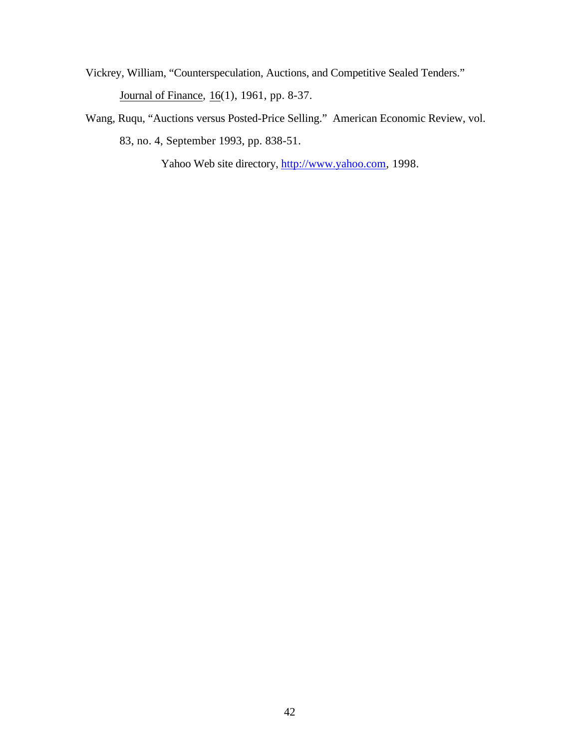- Vickrey, William, "Counterspeculation, Auctions, and Competitive Sealed Tenders." Journal of Finance,  $16(1)$ , 1961, pp. 8-37.
- Wang, Ruqu, "Auctions versus Posted-Price Selling." American Economic Review, vol. 83, no. 4, September 1993, pp. 838-51.

Yahoo Web site directory, http://www.yahoo.com, 1998.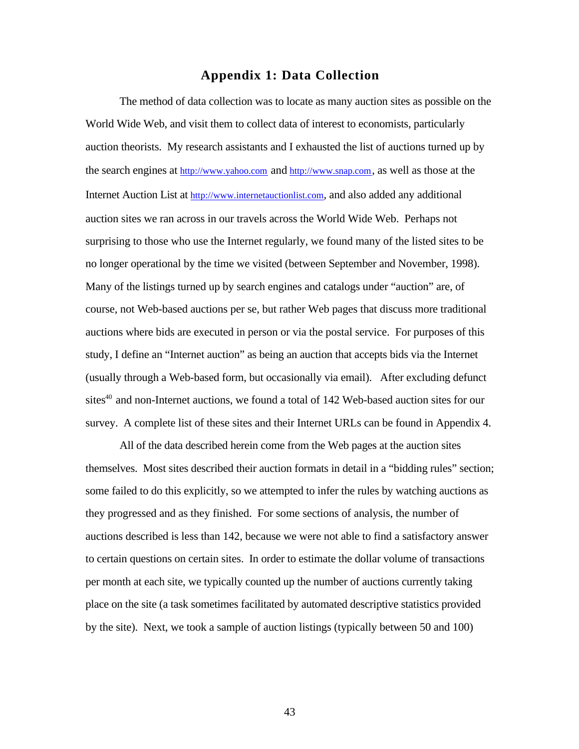# **Appendix 1: Data Collection**

The method of data collection was to locate as many auction sites as possible on the World Wide Web, and visit them to collect data of interest to economists, particularly auction theorists. My research assistants and I exhausted the list of auctions turned up by the search engines at http://www.yahoo.com and http://www.snap.com, as well as those at the Internet Auction List at http://www.internetauctionlist.com, and also added any additional auction sites we ran across in our travels across the World Wide Web. Perhaps not surprising to those who use the Internet regularly, we found many of the listed sites to be no longer operational by the time we visited (between September and November, 1998). Many of the listings turned up by search engines and catalogs under "auction" are, of course, not Web-based auctions per se, but rather Web pages that discuss more traditional auctions where bids are executed in person or via the postal service. For purposes of this study, I define an "Internet auction" as being an auction that accepts bids via the Internet (usually through a Web-based form, but occasionally via email). After excluding defunct sites $40$  and non-Internet auctions, we found a total of 142 Web-based auction sites for our survey. A complete list of these sites and their Internet URLs can be found in Appendix 4.

All of the data described herein come from the Web pages at the auction sites themselves. Most sites described their auction formats in detail in a "bidding rules" section; some failed to do this explicitly, so we attempted to infer the rules by watching auctions as they progressed and as they finished. For some sections of analysis, the number of auctions described is less than 142, because we were not able to find a satisfactory answer to certain questions on certain sites. In order to estimate the dollar volume of transactions per month at each site, we typically counted up the number of auctions currently taking place on the site (a task sometimes facilitated by automated descriptive statistics provided by the site). Next, we took a sample of auction listings (typically between 50 and 100)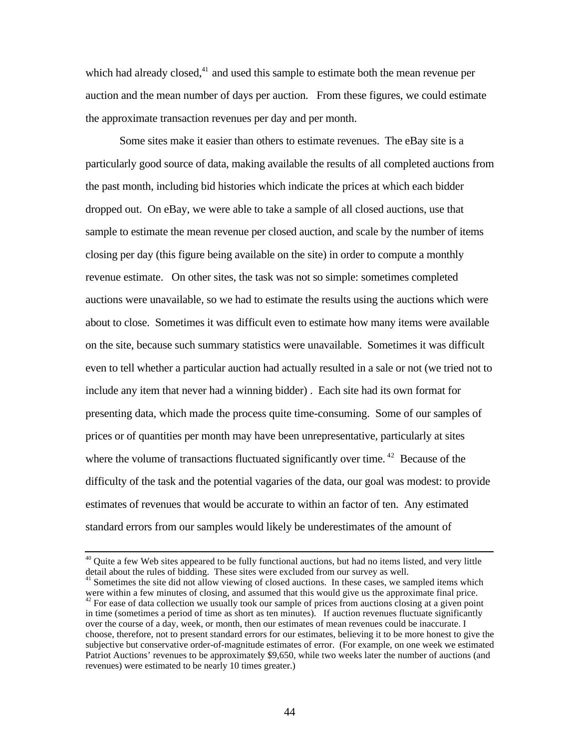which had already closed, $41$  and used this sample to estimate both the mean revenue per auction and the mean number of days per auction. From these figures, we could estimate the approximate transaction revenues per day and per month.

Some sites make it easier than others to estimate revenues. The eBay site is a particularly good source of data, making available the results of all completed auctions from the past month, including bid histories which indicate the prices at which each bidder dropped out. On eBay, we were able to take a sample of all closed auctions, use that sample to estimate the mean revenue per closed auction, and scale by the number of items closing per day (this figure being available on the site) in order to compute a monthly revenue estimate. On other sites, the task was not so simple: sometimes completed auctions were unavailable, so we had to estimate the results using the auctions which were about to close. Sometimes it was difficult even to estimate how many items were available on the site, because such summary statistics were unavailable. Sometimes it was difficult even to tell whether a particular auction had actually resulted in a sale or not (we tried not to include any item that never had a winning bidder) . Each site had its own format for presenting data, which made the process quite time-consuming. Some of our samples of prices or of quantities per month may have been unrepresentative, particularly at sites where the volume of transactions fluctuated significantly over time.<sup>42</sup> Because of the difficulty of the task and the potential vagaries of the data, our goal was modest: to provide estimates of revenues that would be accurate to within an factor of ten. Any estimated standard errors from our samples would likely be underestimates of the amount of

 $\overline{a}$ 

<sup>&</sup>lt;sup>40</sup> Quite a few Web sites appeared to be fully functional auctions, but had no items listed, and very little detail about the rules of bidding. These sites were excluded from our survey as well.

<sup>&</sup>lt;sup>41</sup> Sometimes the site did not allow viewing of closed auctions. In these cases, we sampled items which were within a few minutes of closing, and assumed that this would give us the approximate final price.  $42$  For ease of data collection we usually took our sample of prices from auctions closing at a given point in time (sometimes a period of time as short as ten minutes). If auction revenues fluctuate significantly over the course of a day, week, or month, then our estimates of mean revenues could be inaccurate. I choose, therefore, not to present standard errors for our estimates, believing it to be more honest to give the subjective but conservative order-of-magnitude estimates of error. (For example, on one week we estimated Patriot Auctions' revenues to be approximately \$9,650, while two weeks later the number of auctions (and revenues) were estimated to be nearly 10 times greater.)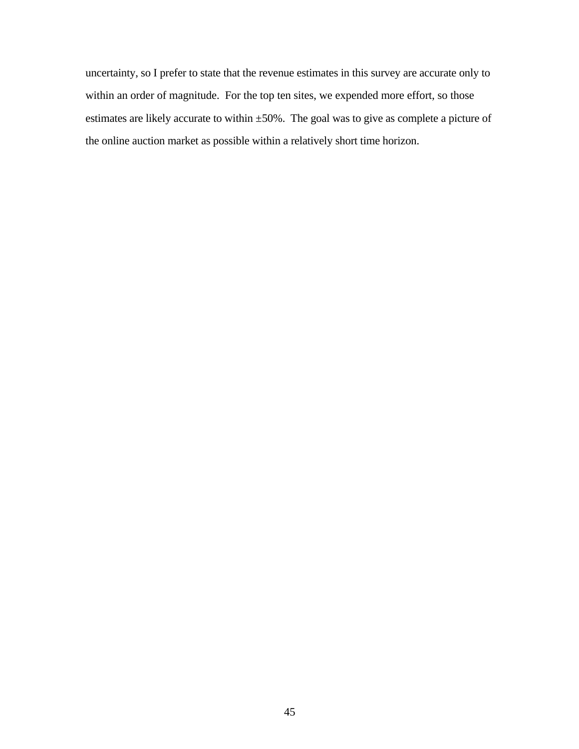uncertainty, so I prefer to state that the revenue estimates in this survey are accurate only to within an order of magnitude. For the top ten sites, we expended more effort, so those estimates are likely accurate to within ±50%. The goal was to give as complete a picture of the online auction market as possible within a relatively short time horizon.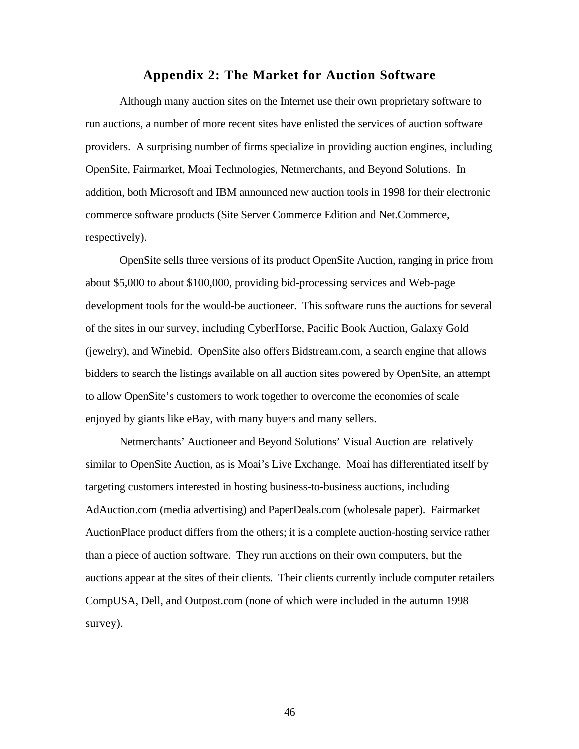#### **Appendix 2: The Market for Auction Software**

Although many auction sites on the Internet use their own proprietary software to run auctions, a number of more recent sites have enlisted the services of auction software providers. A surprising number of firms specialize in providing auction engines, including OpenSite, Fairmarket, Moai Technologies, Netmerchants, and Beyond Solutions. In addition, both Microsoft and IBM announced new auction tools in 1998 for their electronic commerce software products (Site Server Commerce Edition and Net.Commerce, respectively).

OpenSite sells three versions of its product OpenSite Auction, ranging in price from about \$5,000 to about \$100,000, providing bid-processing services and Web-page development tools for the would-be auctioneer. This software runs the auctions for several of the sites in our survey, including CyberHorse, Pacific Book Auction, Galaxy Gold (jewelry), and Winebid. OpenSite also offers Bidstream.com, a search engine that allows bidders to search the listings available on all auction sites powered by OpenSite, an attempt to allow OpenSite's customers to work together to overcome the economies of scale enjoyed by giants like eBay, with many buyers and many sellers.

Netmerchants' Auctioneer and Beyond Solutions' Visual Auction are relatively similar to OpenSite Auction, as is Moai's Live Exchange. Moai has differentiated itself by targeting customers interested in hosting business-to-business auctions, including AdAuction.com (media advertising) and PaperDeals.com (wholesale paper). Fairmarket AuctionPlace product differs from the others; it is a complete auction-hosting service rather than a piece of auction software. They run auctions on their own computers, but the auctions appear at the sites of their clients. Their clients currently include computer retailers CompUSA, Dell, and Outpost.com (none of which were included in the autumn 1998 survey).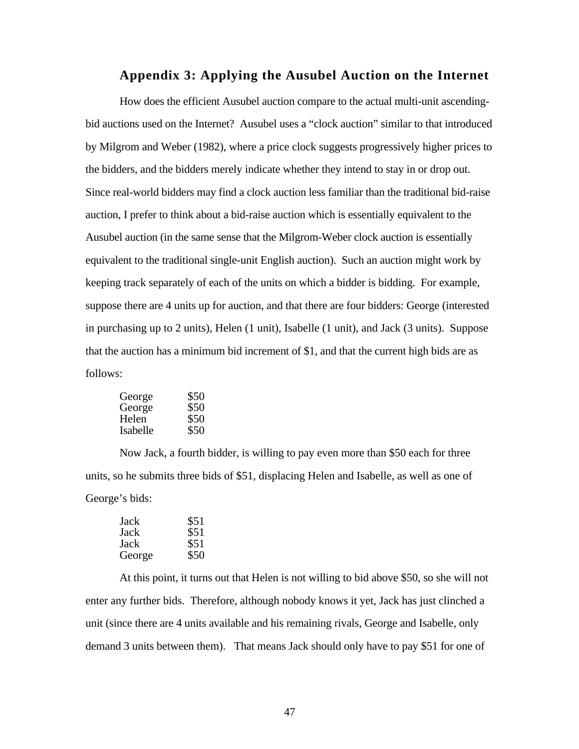# **Appendix 3: Applying the Ausubel Auction on the Internet**

How does the efficient Ausubel auction compare to the actual multi-unit ascendingbid auctions used on the Internet? Ausubel uses a "clock auction" similar to that introduced by Milgrom and Weber (1982), where a price clock suggests progressively higher prices to the bidders, and the bidders merely indicate whether they intend to stay in or drop out. Since real-world bidders may find a clock auction less familiar than the traditional bid-raise auction, I prefer to think about a bid-raise auction which is essentially equivalent to the Ausubel auction (in the same sense that the Milgrom-Weber clock auction is essentially equivalent to the traditional single-unit English auction). Such an auction might work by keeping track separately of each of the units on which a bidder is bidding. For example, suppose there are 4 units up for auction, and that there are four bidders: George (interested in purchasing up to 2 units), Helen (1 unit), Isabelle (1 unit), and Jack (3 units). Suppose that the auction has a minimum bid increment of \$1, and that the current high bids are as follows:

| George   | \$50 |
|----------|------|
| George   | \$50 |
| Helen    | \$50 |
| Isabelle | \$50 |

Now Jack, a fourth bidder, is willing to pay even more than \$50 each for three units, so he submits three bids of \$51, displacing Helen and Isabelle, as well as one of George's bids:

| Jack   | \$51 |
|--------|------|
| Jack   | \$51 |
| Jack   | \$51 |
| George | \$50 |

At this point, it turns out that Helen is not willing to bid above \$50, so she will not enter any further bids. Therefore, although nobody knows it yet, Jack has just clinched a unit (since there are 4 units available and his remaining rivals, George and Isabelle, only demand 3 units between them). That means Jack should only have to pay \$51 for one of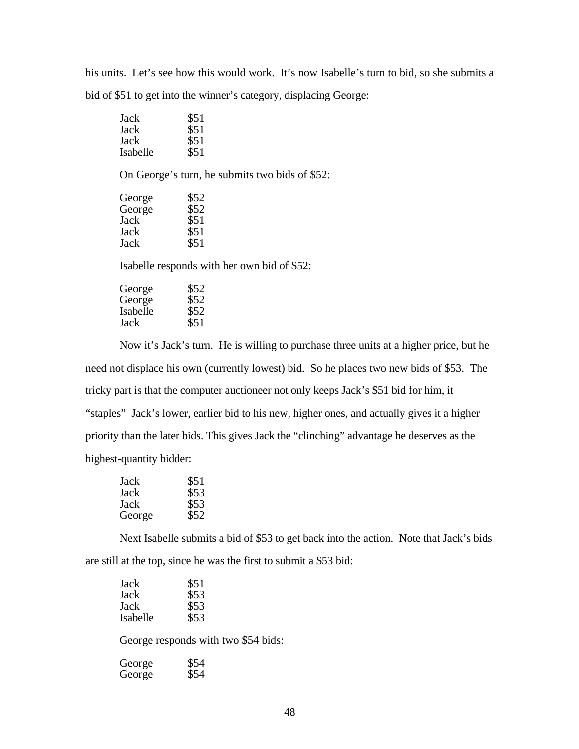his units. Let's see how this would work. It's now Isabelle's turn to bid, so she submits a bid of \$51 to get into the winner's category, displacing George:

| Jack     | \$51 |
|----------|------|
| Jack     | \$51 |
| Jack     | \$51 |
| Isabelle | \$51 |

On George's turn, he submits two bids of \$52:

| George | \$52 |
|--------|------|
| George | \$52 |
| Jack   | \$51 |
| Jack   | \$51 |
| Jack   | \$51 |

Isabelle responds with her own bid of \$52:

| \$52 |
|------|
| \$52 |
| \$52 |
| \$51 |
|      |

Now it's Jack's turn. He is willing to purchase three units at a higher price, but he need not displace his own (currently lowest) bid. So he places two new bids of \$53. The tricky part is that the computer auctioneer not only keeps Jack's \$51 bid for him, it "staples" Jack's lower, earlier bid to his new, higher ones, and actually gives it a higher priority than the later bids. This gives Jack the "clinching" advantage he deserves as the highest-quantity bidder:

| Jack   | \$51 |
|--------|------|
| Jack   | \$53 |
| Jack   | \$53 |
| George | \$52 |

Next Isabelle submits a bid of \$53 to get back into the action. Note that Jack's bids are still at the top, since he was the first to submit a \$53 bid:

| Jack     | \$51 |
|----------|------|
| Jack     | \$53 |
| Jack     | \$53 |
| Isabelle | \$53 |

George responds with two \$54 bids:

| George | \$54 |
|--------|------|
| George | \$54 |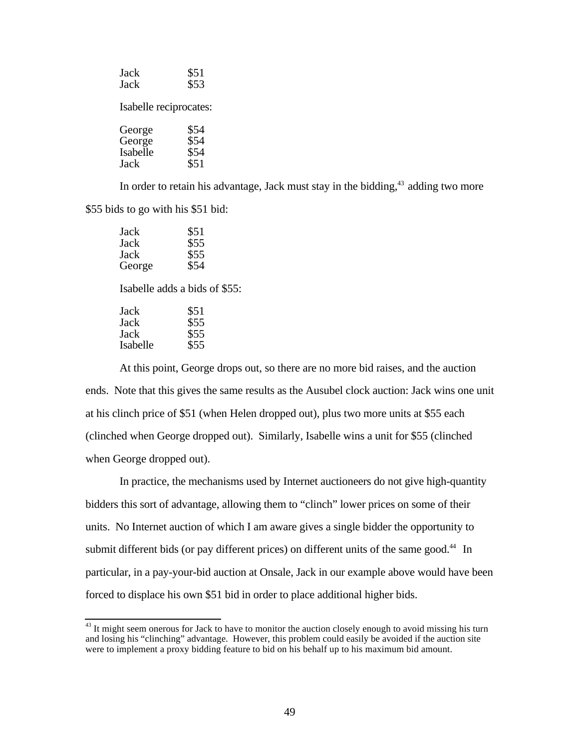| Jack                   | \$51 |
|------------------------|------|
| Jack                   | \$53 |
| Isabelle reciprocates: |      |
| George                 | \$54 |
| George                 | \$54 |
| Isabelle               | \$54 |
| Jack                   | \$51 |

In order to retain his advantage, Jack must stay in the bidding, $43$  adding two more \$55 bids to go with his \$51 bid:

| Jack   | \$51 |
|--------|------|
| Jack   | \$55 |
| Jack   | \$55 |
| George | \$54 |

Isabelle adds a bids of \$55:

| Jack     | \$51 |
|----------|------|
| Jack     | \$55 |
| Jack     | \$55 |
| Isabelle | \$55 |

ı

At this point, George drops out, so there are no more bid raises, and the auction ends. Note that this gives the same results as the Ausubel clock auction: Jack wins one unit at his clinch price of \$51 (when Helen dropped out), plus two more units at \$55 each (clinched when George dropped out). Similarly, Isabelle wins a unit for \$55 (clinched when George dropped out).

In practice, the mechanisms used by Internet auctioneers do not give high-quantity bidders this sort of advantage, allowing them to "clinch" lower prices on some of their units. No Internet auction of which I am aware gives a single bidder the opportunity to submit different bids (or pay different prices) on different units of the same good.<sup>44</sup> In particular, in a pay-your-bid auction at Onsale, Jack in our example above would have been forced to displace his own \$51 bid in order to place additional higher bids.

 $43$  It might seem onerous for Jack to have to monitor the auction closely enough to avoid missing his turn and losing his "clinching" advantage. However, this problem could easily be avoided if the auction site were to implement a proxy bidding feature to bid on his behalf up to his maximum bid amount.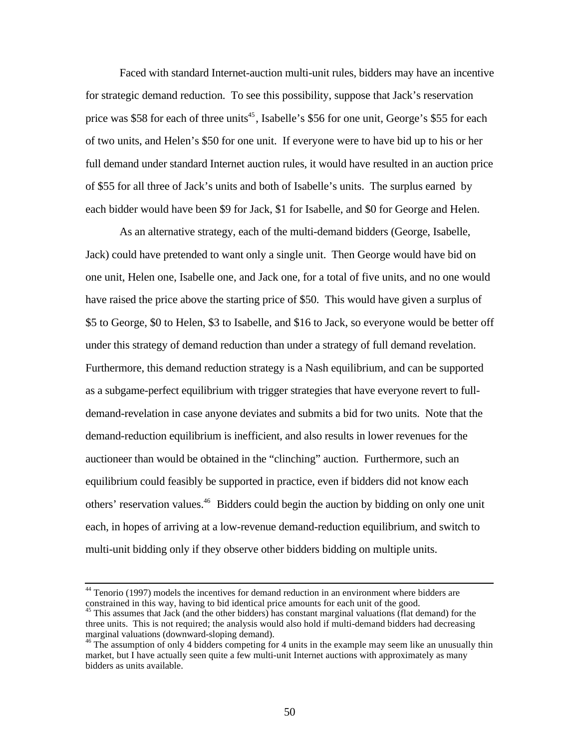Faced with standard Internet-auction multi-unit rules, bidders may have an incentive for strategic demand reduction. To see this possibility, suppose that Jack's reservation price was \$58 for each of three units<sup>45</sup>, Isabelle's \$56 for one unit, George's \$55 for each of two units, and Helen's \$50 for one unit. If everyone were to have bid up to his or her full demand under standard Internet auction rules, it would have resulted in an auction price of \$55 for all three of Jack's units and both of Isabelle's units. The surplus earned by each bidder would have been \$9 for Jack, \$1 for Isabelle, and \$0 for George and Helen.

As an alternative strategy, each of the multi-demand bidders (George, Isabelle, Jack) could have pretended to want only a single unit. Then George would have bid on one unit, Helen one, Isabelle one, and Jack one, for a total of five units, and no one would have raised the price above the starting price of \$50. This would have given a surplus of \$5 to George, \$0 to Helen, \$3 to Isabelle, and \$16 to Jack, so everyone would be better off under this strategy of demand reduction than under a strategy of full demand revelation. Furthermore, this demand reduction strategy is a Nash equilibrium, and can be supported as a subgame-perfect equilibrium with trigger strategies that have everyone revert to fulldemand-revelation in case anyone deviates and submits a bid for two units. Note that the demand-reduction equilibrium is inefficient, and also results in lower revenues for the auctioneer than would be obtained in the "clinching" auction. Furthermore, such an equilibrium could feasibly be supported in practice, even if bidders did not know each others' reservation values.<sup>46</sup> Bidders could begin the auction by bidding on only one unit each, in hopes of arriving at a low-revenue demand-reduction equilibrium, and switch to multi-unit bidding only if they observe other bidders bidding on multiple units.

 $\overline{a}$ 

 $44$  Tenorio (1997) models the incentives for demand reduction in an environment where bidders are constrained in this way, having to bid identical price amounts for each unit of the good.

<sup>&</sup>lt;sup>45</sup> This assumes that Jack (and the other bidders) has constant marginal valuations (flat demand) for the three units. This is not required; the analysis would also hold if multi-demand bidders had decreasing marginal valuations (downward-sloping demand).

 $46$  The assumption of only 4 bidders competing for 4 units in the example may seem like an unusually thin market, but I have actually seen quite a few multi-unit Internet auctions with approximately as many bidders as units available.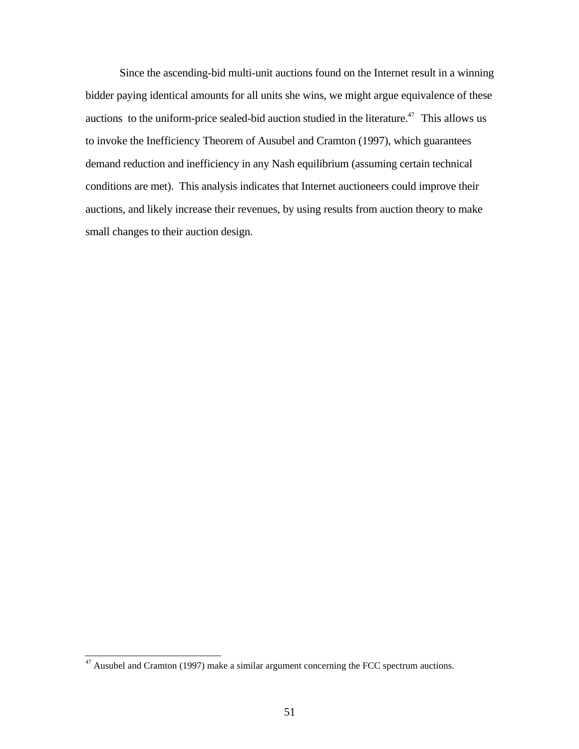Since the ascending-bid multi-unit auctions found on the Internet result in a winning bidder paying identical amounts for all units she wins, we might argue equivalence of these auctions to the uniform-price sealed-bid auction studied in the literature.<sup>47</sup> This allows us to invoke the Inefficiency Theorem of Ausubel and Cramton (1997), which guarantees demand reduction and inefficiency in any Nash equilibrium (assuming certain technical conditions are met). This analysis indicates that Internet auctioneers could improve their auctions, and likely increase their revenues, by using results from auction theory to make small changes to their auction design.

ı

 $47$  Ausubel and Cramton (1997) make a similar argument concerning the FCC spectrum auctions.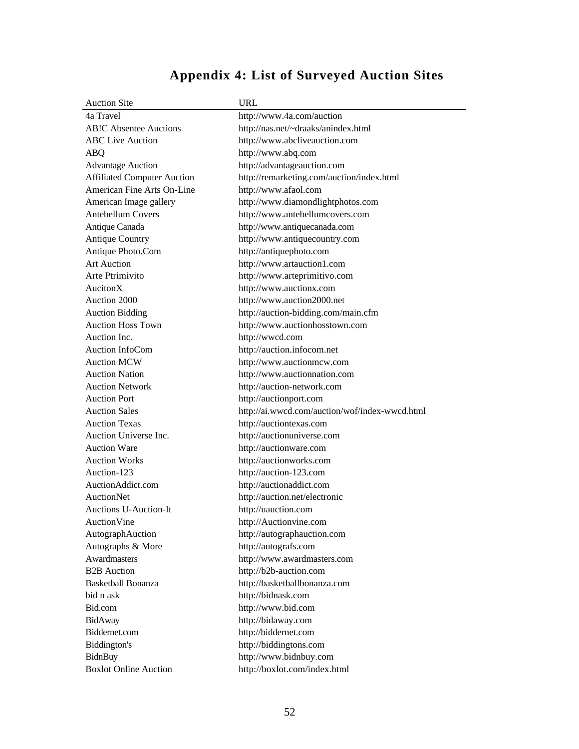# **Appendix 4: List of Surveyed Auction Sites**

| <b>Auction Site</b>                             | <b>URL</b>                                         |
|-------------------------------------------------|----------------------------------------------------|
| 4a Travel                                       | http://www.4a.com/auction                          |
| <b>AB!C Absentee Auctions</b>                   | http://nas.net/~draaks/anindex.html                |
| <b>ABC Live Auction</b>                         | http://www.abcliveauction.com                      |
| ABQ                                             | http://www.abq.com                                 |
| <b>Advantage Auction</b>                        | http://advantageauction.com                        |
| <b>Affiliated Computer Auction</b>              | http://remarketing.com/auction/index.html          |
| American Fine Arts On-Line                      | http://www.afaol.com                               |
| American Image gallery                          | http://www.diamondlightphotos.com                  |
| <b>Antebellum Covers</b>                        | http://www.antebellumcovers.com                    |
| Antique Canada                                  | http://www.antiquecanada.com                       |
| <b>Antique Country</b>                          | http://www.antiquecountry.com                      |
| Antique Photo.Com                               | http://antiquephoto.com                            |
| <b>Art Auction</b>                              | http://www.artauction1.com                         |
| Arte Ptrimivito                                 | http://www.arteprimitivo.com                       |
| AucitonX                                        | http://www.auctionx.com                            |
| Auction 2000                                    | http://www.auction2000.net                         |
| <b>Auction Bidding</b>                          | http://auction-bidding.com/main.cfm                |
| <b>Auction Hoss Town</b>                        | http://www.auctionhosstown.com                     |
| Auction Inc.                                    | http://wwcd.com                                    |
| Auction InfoCom                                 | http://auction.infocom.net                         |
| <b>Auction MCW</b>                              | http://www.auctionmcw.com                          |
| <b>Auction Nation</b>                           | http://www.auctionnation.com                       |
| <b>Auction Network</b>                          | http://auction-network.com                         |
| <b>Auction Port</b>                             | http://auctionport.com                             |
| <b>Auction Sales</b>                            | http://ai.wwcd.com/auction/wof/index-wwcd.html     |
| <b>Auction Texas</b>                            | http://auctiontexas.com                            |
| Auction Universe Inc.                           | http://auctionuniverse.com                         |
| <b>Auction Ware</b>                             | http://auctionware.com                             |
| <b>Auction Works</b>                            | http://auctionworks.com                            |
| Auction-123                                     | http://auction-123.com                             |
| AuctionAddict.com                               | http://auctionaddict.com                           |
| <b>AuctionNet</b>                               | http://auction.net/electronic                      |
| <b>Auctions U-Auction-It</b>                    | http://uauction.com                                |
| AuctionVine                                     | http://Auctionvine.com                             |
| AutographAuction                                | http://autographauction.com                        |
| Autographs & More                               | http://autografs.com                               |
| Awardmasters                                    | http://www.awardmasters.com                        |
| <b>B2B</b> Auction<br><b>Basketball Bonanza</b> | http://b2b-auction.com                             |
| bid n ask                                       | http://basketballbonanza.com<br>http://bidnask.com |
|                                                 |                                                    |
| Bid.com                                         | http://www.bid.com                                 |
| BidAway<br>Biddernet.com                        | http://bidaway.com<br>http://biddernet.com         |
| Biddington's                                    | http://biddingtons.com                             |
| BidnBuy                                         | http://www.bidnbuy.com                             |
| <b>Boxlot Online Auction</b>                    |                                                    |
|                                                 | http://boxlot.com/index.html                       |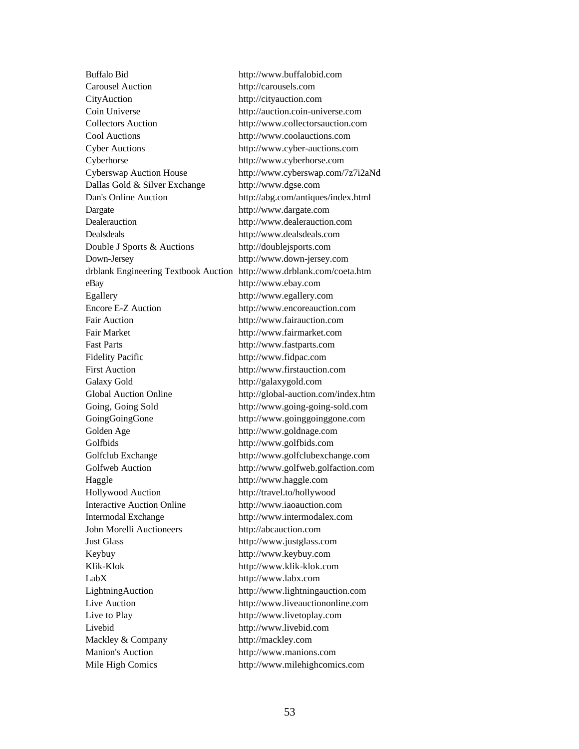Carousel Auction http://carousels.com CityAuction http://cityauction.com Coin Universe http://auction.coin-universe.com Collectors Auction http://www.collectorsauction.com Cool Auctions http://www.coolauctions.com Cyber Auctions http://www.cyber-auctions.com Cyberhorse http://www.cyberhorse.com Cyberswap Auction House http://www.cyberswap.com/7z7i2aNd Dallas Gold & Silver Exchange http://www.dgse.com Dan's Online Auction http://abg.com/antiques/index.html Dargate http://www.dargate.com Dealerauction http://www.dealerauction.com Dealsdeals http://www.dealsdeals.com Double J Sports & Auctions http://doublejsports.com Down-Jersey http://www.down-jersey.com drblank Engineering Textbook Auction http://www.drblank.com/coeta.htm eBay http://www.ebay.com Egallery http://www.egallery.com Encore E-Z Auction http://www.encoreauction.com Fair Auction http://www.fairauction.com Fair Market http://www.fairmarket.com Fast Parts http://www.fastparts.com Fidelity Pacific http://www.fidpac.com First Auction http://www.firstauction.com Galaxy Gold http://galaxygold.com Global Auction Online http://global-auction.com/index.htm Going, Going Sold http://www.going-going-sold.com GoingGoingGone http://www.goinggoinggone.com Golden Age http://www.goldnage.com Golfbids http://www.golfbids.com Golfclub Exchange http://www.golfclubexchange.com Golfweb Auction http://www.golfweb.golfaction.com Haggle http://www.haggle.com Hollywood Auction http://travel.to/hollywood Interactive Auction Online http://www.iaoauction.com Intermodal Exchange http://www.intermodalex.com John Morelli Auctioneers http://abcauction.com Just Glass http://www.justglass.com Keybuy http://www.keybuy.com Klik-Klok http://www.klik-klok.com LabX http://www.labx.com LightningAuction http://www.lightningauction.com Live Auction http://www.liveauctiononline.com Live to Play http://www.livetoplay.com Livebid http://www.livebid.com Mackley & Company http://mackley.com Manion's Auction http://www.manions.com

Buffalo Bid http://www.buffalobid.com Mile High Comics http://www.milehighcomics.com